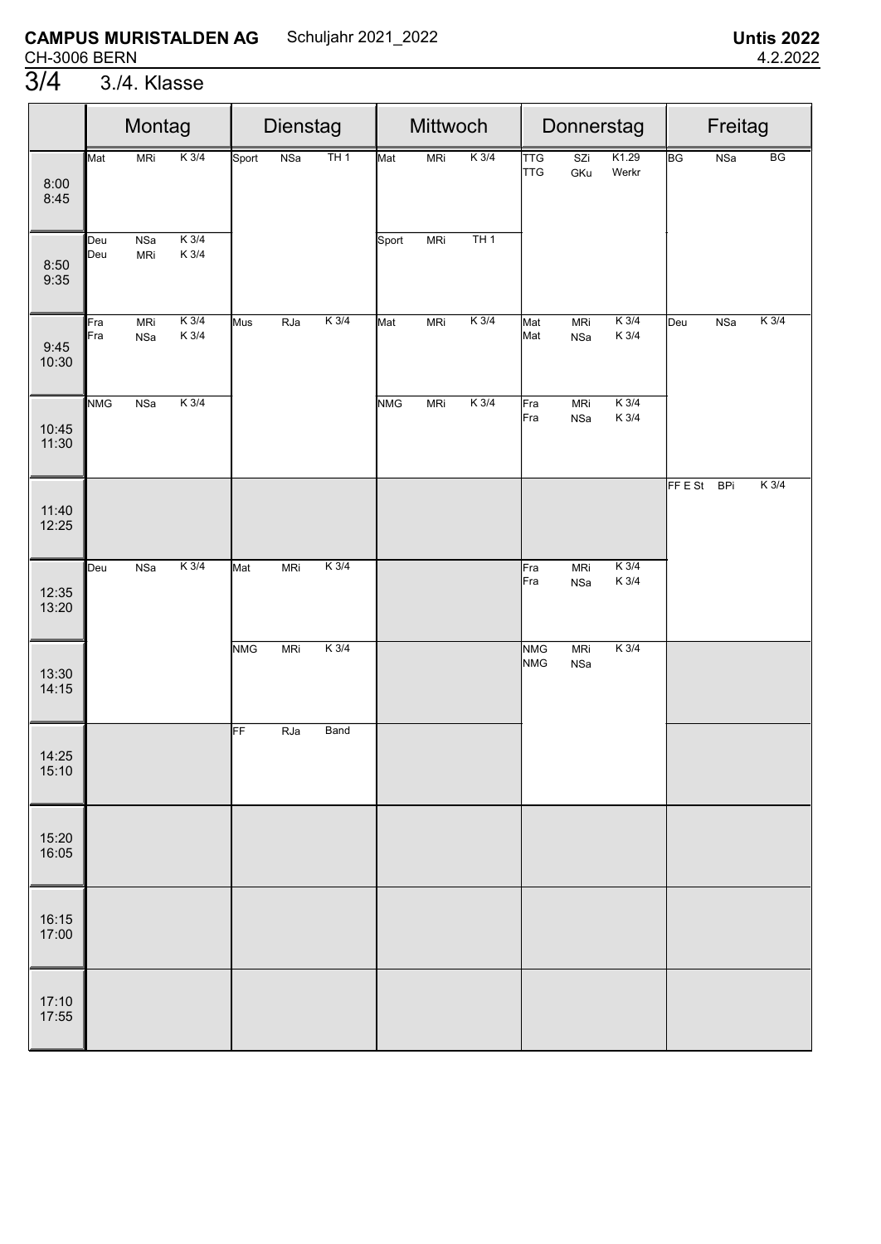|                | Montag<br>$K$ 3/4<br>Mat<br><b>MRi</b> |                   |                  | Dienstag   |            |         | Mittwoch   |            |         |                          | Donnerstag        | Freitag            |         |            |                                   |
|----------------|----------------------------------------|-------------------|------------------|------------|------------|---------|------------|------------|---------|--------------------------|-------------------|--------------------|---------|------------|-----------------------------------|
| 8:00<br>8:45   |                                        |                   |                  | Sport      | <b>NSa</b> | TH1     | Mat        | <b>MRi</b> | $K$ 3/4 | <b>TTG</b><br><b>TTG</b> | SZi<br>GKu        | K1.29<br>Werkr     | BG      | <b>NSa</b> | $\overline{\mathsf{B}\mathsf{G}}$ |
| 8:50<br>9:35   | Deu<br>Deu                             | NSa<br><b>MRi</b> | $K$ 3/4<br>K 3/4 |            |            |         | Sport      | <b>MRi</b> | TH1     |                          |                   |                    |         |            |                                   |
| 9:45<br>10:30  | Fra<br>Fra                             | <b>MRi</b><br>NSa | $K$ 3/4<br>K 3/4 | Mus        | RJa        | $K$ 3/4 | Mat        | <b>MRi</b> | $K$ 3/4 | Mat<br>Mat               | <b>MRi</b><br>NSa | $K$ 3/4<br>K 3/4   | Deu     | NSa        | $K$ 3/4                           |
| 10:45<br>11:30 | <b>NMG</b>                             | NSa               | $K$ 3/4          |            |            |         | <b>NMG</b> | <b>MRi</b> | $K$ 3/4 | Fra<br>Fra               | <b>MRi</b><br>NSa | $K$ 3/4<br>$K$ 3/4 |         |            |                                   |
| 11:40<br>12:25 |                                        |                   |                  |            |            |         |            |            |         |                          |                   |                    | FF E St | <b>BPi</b> | $K$ 3/4                           |
| 12:35<br>13:20 | Deu                                    | NSa               | $K$ 3/4          | Mat        | <b>MRi</b> | $K$ 3/4 |            |            |         | Fra<br>Fra               | <b>MRi</b><br>NSa | $K$ 3/4<br>$K$ 3/4 |         |            |                                   |
| 13:30<br>14:15 |                                        |                   |                  | <b>NMG</b> | <b>MRi</b> | $K$ 3/4 |            |            |         | <b>NMG</b><br><b>NMG</b> | <b>MRi</b><br>NSa | $K$ 3/4            |         |            |                                   |
| 14:25<br>15:10 |                                        |                   |                  | FF         | RJa        | Band    |            |            |         |                          |                   |                    |         |            |                                   |
| 15:20<br>16:05 |                                        |                   |                  |            |            |         |            |            |         |                          |                   |                    |         |            |                                   |
| 16:15<br>17:00 |                                        |                   |                  |            |            |         |            |            |         |                          |                   |                    |         |            |                                   |
| 17:10<br>17:55 |                                        |                   |                  |            |            |         |            |            |         |                          |                   |                    |         |            |                                   |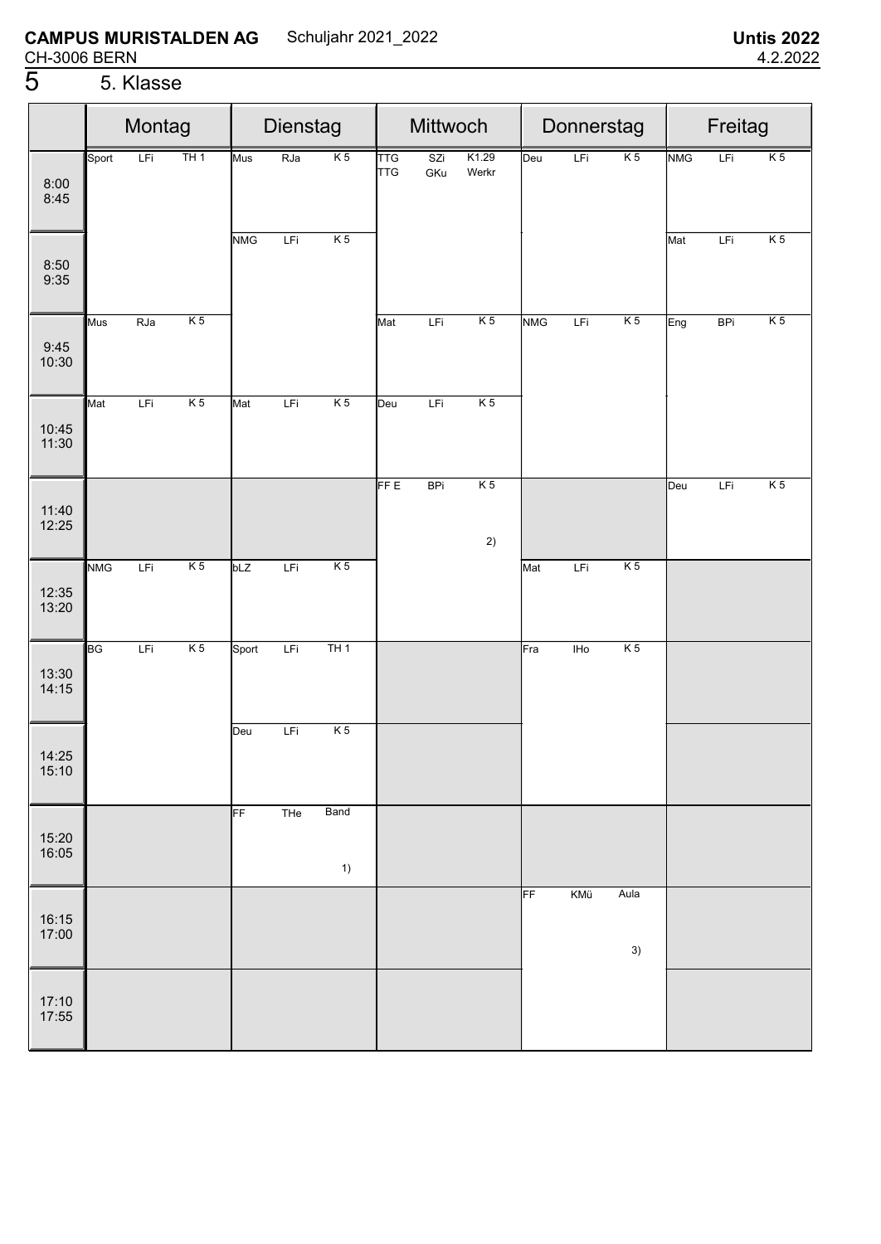# 5 5. Klasse

|                  | Montag<br>TH1<br>LFi<br>Sport |     | Dienstag<br>K <sub>5</sub><br><b>RJa</b><br>Mus |            |     |                 | Mittwoch                 |            | Donnerstag           |            |       |                | Freitag    |            |                |
|------------------|-------------------------------|-----|-------------------------------------------------|------------|-----|-----------------|--------------------------|------------|----------------------|------------|-------|----------------|------------|------------|----------------|
| 8:00<br>8:45     |                               |     |                                                 |            |     |                 | <b>TTG</b><br><b>TTG</b> | SZi<br>GKu | K1.29<br>Werkr       | Deu        | LFi   | K <sub>5</sub> | <b>NMG</b> | LFi        | K <sub>5</sub> |
| $8:50$<br>$9:35$ |                               |     |                                                 | <b>NMG</b> | LFi | K <sub>5</sub>  |                          |            |                      |            |       |                | Mat        | LFi        | K <sub>5</sub> |
| 9:45<br>10:30    | Mus                           | RJa | K <sub>5</sub>                                  |            |     |                 | Mat                      | LFi        | K <sub>5</sub>       | <b>NMG</b> | LFi   | K <sub>5</sub> | Eng        | <b>BPi</b> | K <sub>5</sub> |
| 10:45<br>11:30   | Mat                           | LFi | K <sub>5</sub>                                  | Mat        | LFi | K <sub>5</sub>  | Deu                      | LFi        | K <sub>5</sub>       |            |       |                |            |            |                |
| 11:40<br>12:25   |                               |     |                                                 |            |     |                 | FF E                     | <b>BPi</b> | K <sub>5</sub><br>2) |            |       |                | Deu        | LFi        | K <sub>5</sub> |
| 12:35<br>13:20   | <b>NMG</b>                    | LFi | $\overline{K5}$                                 | bLZ        | LFi | $\overline{K5}$ |                          |            |                      | Mat        | LFi   | K <sub>5</sub> |            |            |                |
| 13:30<br>14:15   | BG                            | LFi | K <sub>5</sub>                                  | Sport      | LFi | TH1             |                          |            |                      | Fra        | $H_0$ | K <sub>5</sub> |            |            |                |
| 14:25<br>15:10   |                               |     |                                                 | Deu        | LFi | K <sub>5</sub>  |                          |            |                      |            |       |                |            |            |                |
| 15:20<br>16:05   |                               |     |                                                 | FF         | THe | Band<br>1)      |                          |            |                      |            |       |                |            |            |                |
| 16:15<br>17:00   |                               |     |                                                 |            |     |                 |                          |            |                      | FF         | KMü   | Aula<br>3)     |            |            |                |
| 17:10<br>17:55   |                               |     |                                                 |            |     |                 |                          |            |                      |            |       |                |            |            |                |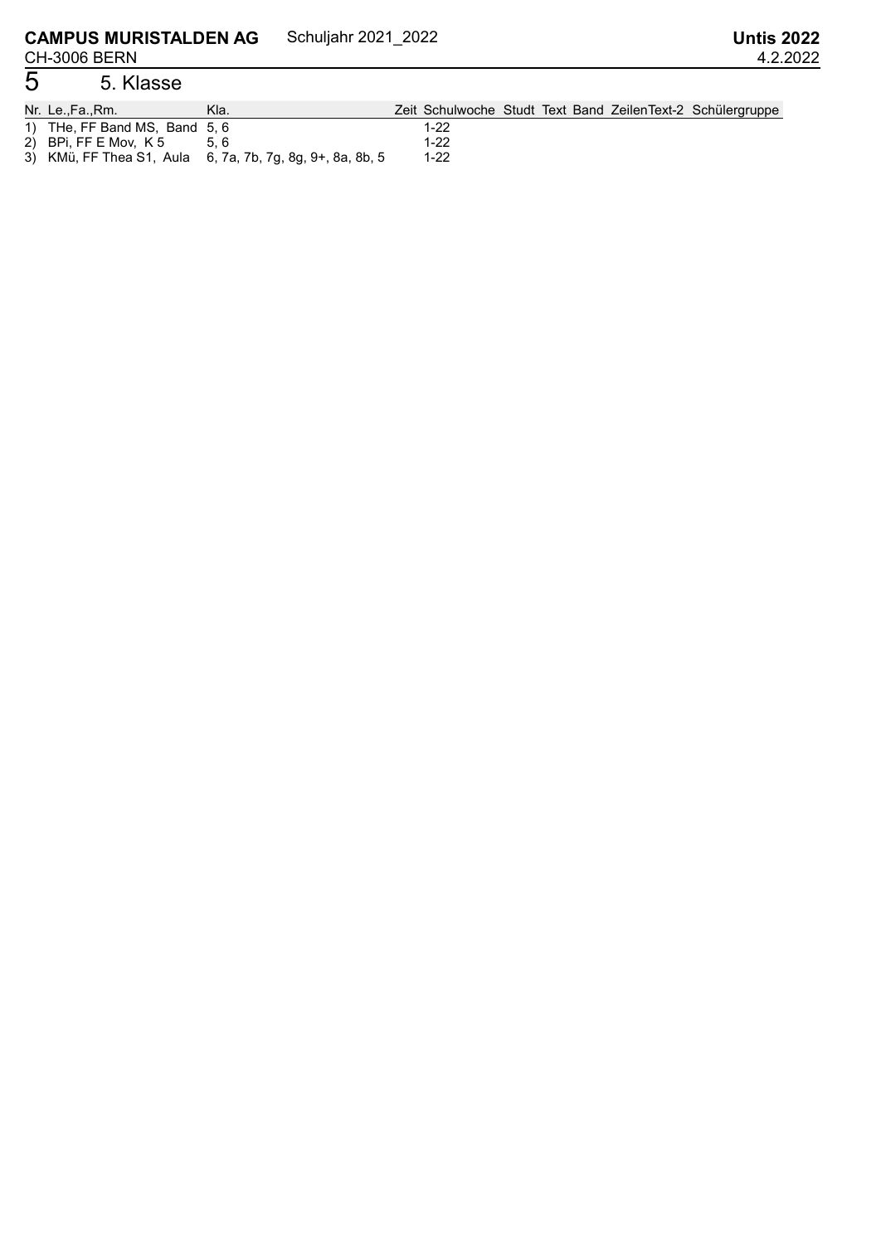# 5 5. Klasse

| Nr. Le.,Fa.,Rm.               | Kla.                                                      |        |  |  | Zeit Schulwoche Studt Text Band ZeilenText-2 Schülergruppe |
|-------------------------------|-----------------------------------------------------------|--------|--|--|------------------------------------------------------------|
| 1) THe, FF Band MS, Band 5, 6 |                                                           | 1-22   |  |  |                                                            |
| 2) BPi, FF E Mov, K 5         |                                                           | $1-22$ |  |  |                                                            |
|                               | 3) KMü, FF Thea S1, Aula 6, 7a, 7b, 7g, 8g, 9+, 8a, 8b, 5 | $1-22$ |  |  |                                                            |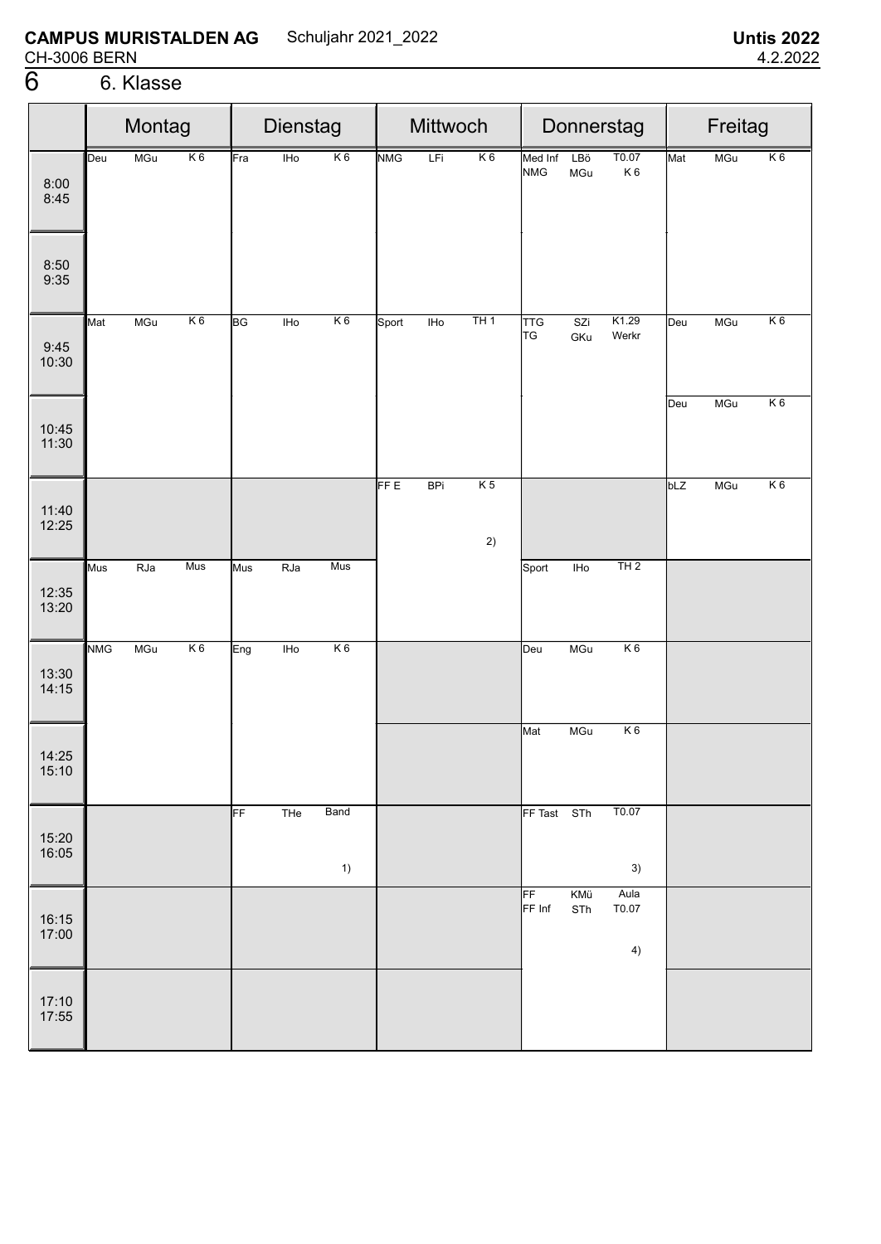|                |            | Montag     |                | Dienstag  |            |                | Mittwoch   |            |                      | Donnerstag            |            | Freitag             |     |            |                |
|----------------|------------|------------|----------------|-----------|------------|----------------|------------|------------|----------------------|-----------------------|------------|---------------------|-----|------------|----------------|
| 8:00<br>8:45   | Deu        | MGu        | K <sub>6</sub> | Fra       | <b>IHo</b> | K <sub>6</sub> | <b>NMG</b> | LFi        | K <sub>6</sub>       | Med Inf<br><b>NMG</b> | LBö<br>MGu | T0.07<br>K6         | Mat | MGu        | K <sub>6</sub> |
| 8:50<br>9:35   |            |            |                |           |            |                |            |            |                      |                       |            |                     |     |            |                |
| 9:45<br>10:30  | Mat        | MGu        | K6             | <b>BG</b> | <b>IHo</b> | K6             | Sport      | IHO        | TH1                  | <b>TTG</b><br>TG      | SZi<br>GKu | K1.29<br>Werkr      | Deu | <b>MGu</b> | K6             |
| 10:45<br>11:30 |            |            |                |           |            |                |            |            |                      |                       |            |                     | Deu | MGu        | K6             |
| 11:40<br>12:25 |            |            |                |           |            |                | FF E       | <b>BPi</b> | K <sub>5</sub><br>2) |                       |            |                     | bLZ | MGu        | K6             |
| 12:35<br>13:20 | Mus        | <b>RJa</b> | Mus            | Mus       | RJa        | Mus            |            |            |                      | Sport                 | IHO        | TH2                 |     |            |                |
| 13:30<br>14:15 | <b>NMG</b> | MGu        | K6             | Eng       | $I$ Ho     | K6             |            |            |                      | Deu                   | MGu        | K6                  |     |            |                |
| 14:25<br>15:10 |            |            |                |           |            |                |            |            |                      | Mat                   | MGu        | K6                  |     |            |                |
| 15:20<br>16:05 |            |            |                | FF        | THe        | Band<br>1)     |            |            |                      | FF Tast STh           |            | T0.07<br>3)         |     |            |                |
| 16:15<br>17:00 |            |            |                |           |            |                |            |            |                      | FF<br>FF Inf          | KMü<br>STh | Aula<br>T0.07<br>4) |     |            |                |
| 17:10<br>17:55 |            |            |                |           |            |                |            |            |                      |                       |            |                     |     |            |                |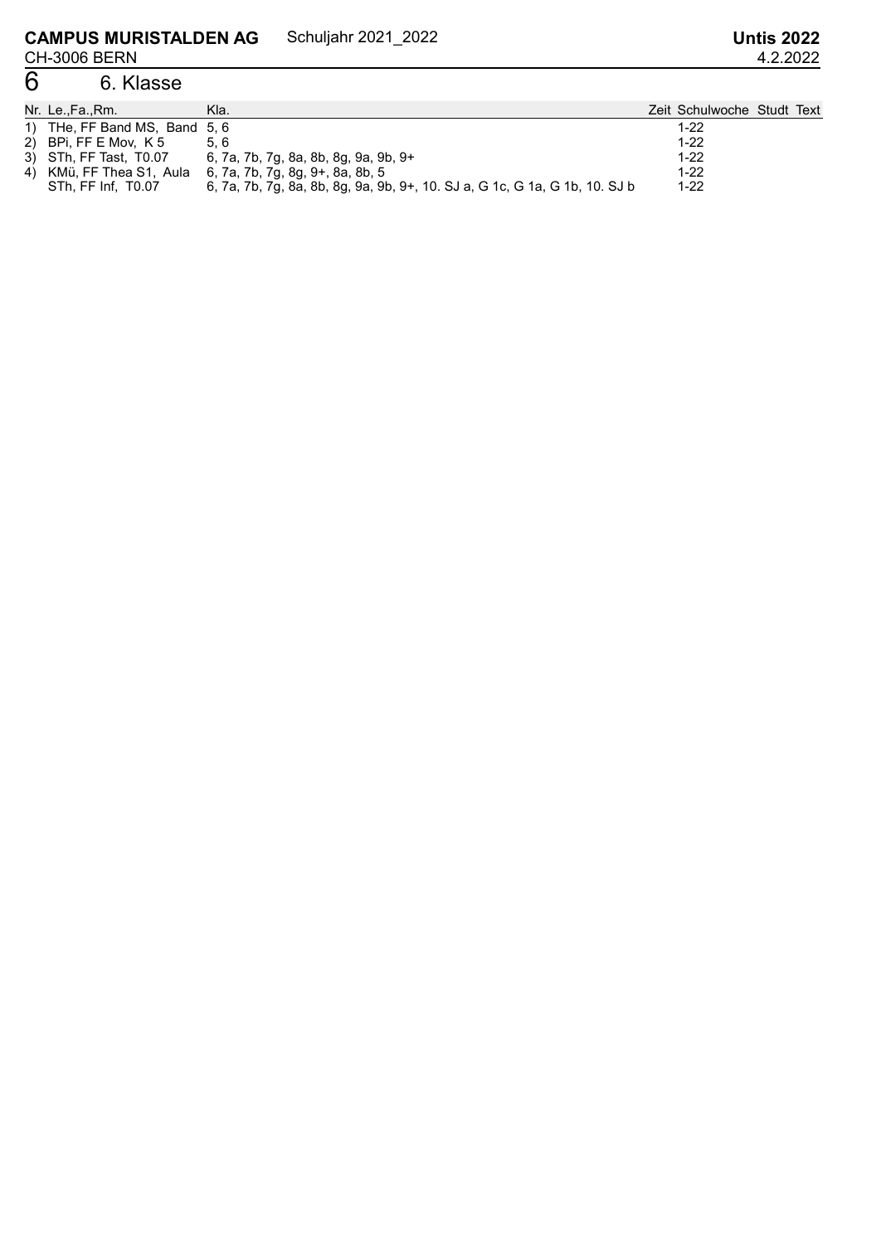### 6 6. Klasse

| Nr. Le.,Fa.,Rm.               | Kla.                                                                        | Zeit Schulwoche Studt Text |  |
|-------------------------------|-----------------------------------------------------------------------------|----------------------------|--|
| 1) THe, FF Band MS, Band 5, 6 |                                                                             | $1-22$                     |  |
| 2) BPi, FF E Mov, K 5         | 5.6                                                                         | $1 - 22$                   |  |
| 3) STh, FF Tast, T0.07        | 6, 7a, 7b, 7g, 8a, 8b, 8g, 9a, 9b, 9+                                       | $1-22$                     |  |
| 4) KMü, FF Thea S1, Aula      | 6, 7a, 7b, 7g, 8g, 9+, 8a, 8b, 5                                            | $1 - 22$                   |  |
| STh. FF Inf. T0.07            | 6, 7a, 7b, 7g, 8a, 8b, 8g, 9a, 9b, 9+, 10. SJ a, G 1c, G 1a, G 1b, 10. SJ b | $1-22$                     |  |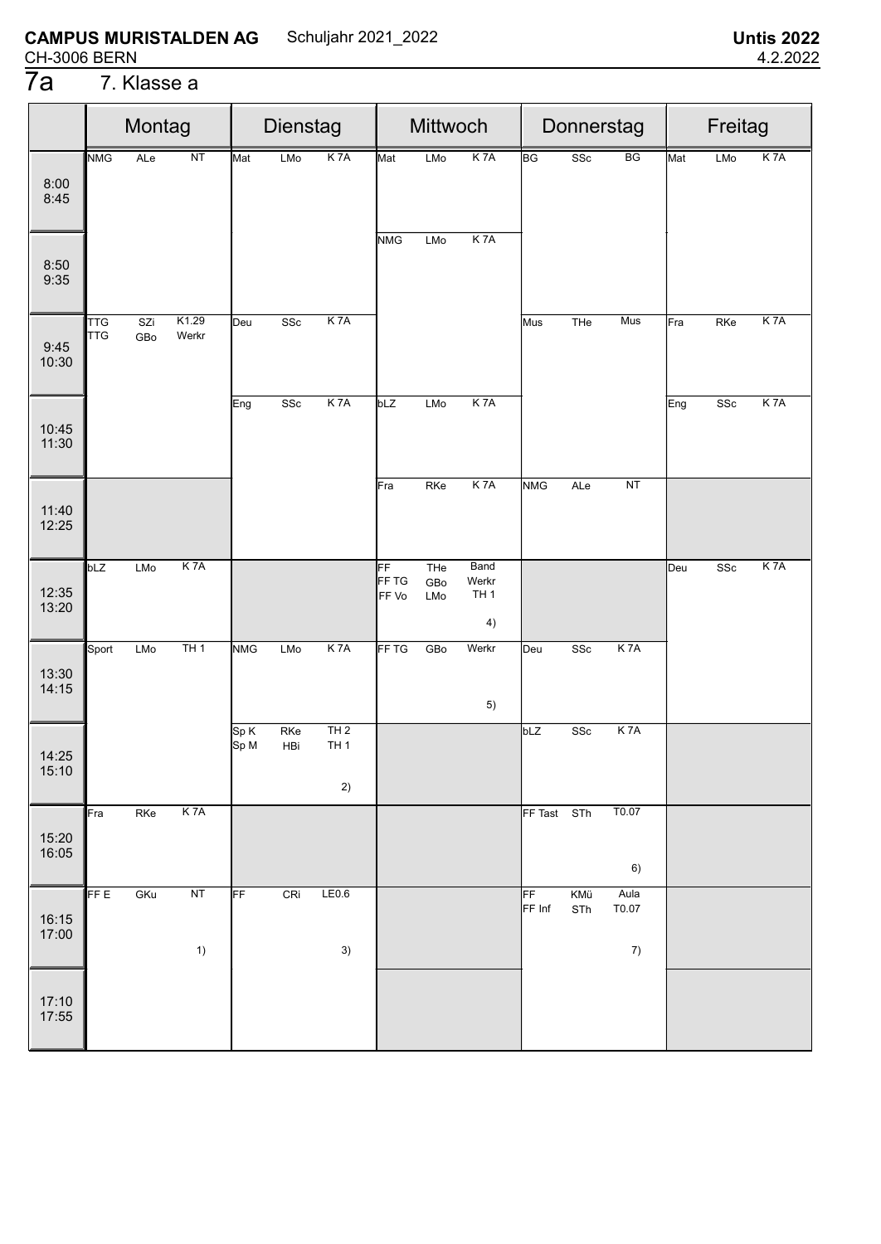#### 7. Klasse a

|                | Montag<br>NT<br><b>NMG</b><br>ALe |            |                  | Dienstag     |               |                        | Mittwoch    |            |                       |              | Donnerstag  |                  | Freitag |     |                  |
|----------------|-----------------------------------|------------|------------------|--------------|---------------|------------------------|-------------|------------|-----------------------|--------------|-------------|------------------|---------|-----|------------------|
|                |                                   |            |                  | Mat          | LMo           | K <sub>7</sub> A       | Mat         | LMo        | K <sub>7</sub> A      | <b>BG</b>    | SSc         | BG               | Mat     | LMo | K <sub>7</sub> A |
| 8:00<br>8:45   |                                   |            |                  |              |               |                        |             |            |                       |              |             |                  |         |     |                  |
|                |                                   |            |                  |              |               |                        | <b>NMG</b>  | LMo        | K <sub>7</sub> A      |              |             |                  |         |     |                  |
| 8:50<br>9:35   |                                   |            |                  |              |               |                        |             |            |                       |              |             |                  |         |     |                  |
| 9:45<br>10:30  | <b>TTG</b><br><b>TTG</b>          | SZi<br>GBo | K1.29<br>Werkr   | Deu          | SSc           | K <sub>7</sub> A       |             |            |                       | Mus          | THe         | Mus              | Fra     | RKe | K <sub>7</sub> A |
|                |                                   |            |                  | Eng          | SSc           | K <sub>7</sub> A       | bLZ         | LMo        | K <sub>7</sub> A      |              |             |                  | Eng     | SSc | K 7A             |
| 10:45<br>11:30 |                                   |            |                  |              |               |                        |             |            |                       |              |             |                  |         |     |                  |
|                |                                   |            |                  |              |               |                        | Fra         | RKe        | K 7A                  | <b>NMG</b>   | ALe         | $\overline{NT}$  |         |     |                  |
| 11:40<br>12:25 |                                   |            |                  |              |               |                        |             |            |                       |              |             |                  |         |     |                  |
|                | bLZ                               | <b>LMo</b> | K 7A             |              |               |                        | FF<br>FF TG | THe<br>GBo | Band<br>Werkr         |              |             |                  | Deu     | SSc | K 7A             |
| 12:35<br>13:20 |                                   |            |                  |              |               |                        | FF Vo       | LMo        | TH <sub>1</sub><br>4) |              |             |                  |         |     |                  |
|                | Sport                             | <b>LMo</b> | TH1              | <b>NMG</b>   | LMo           | K <sub>7</sub> A       | FF TG       | GBo        | Werkr                 | Deu          | SSc         | K <sub>7</sub> A |         |     |                  |
| 13:30<br>14:15 |                                   |            |                  |              |               |                        |             |            | 5)                    |              |             |                  |         |     |                  |
|                |                                   |            |                  | Sp K<br>Sp M | $R$ Ke<br>HBi | TH2<br>TH <sub>1</sub> |             |            |                       | bLZ          | ${\tt SSc}$ | K <sub>7</sub> A |         |     |                  |
| 14:25<br>15:10 |                                   |            |                  |              |               |                        |             |            |                       |              |             |                  |         |     |                  |
|                |                                   |            |                  |              |               | 2)                     |             |            |                       |              |             | T0.07            |         |     |                  |
| 15:20          | ¶Fra                              | RKe        | K <sub>7</sub> A |              |               |                        |             |            |                       | FF Tast STh  |             |                  |         |     |                  |
| 16:05          |                                   |            |                  |              |               |                        |             |            |                       |              |             | 6)               |         |     |                  |
|                | <b>FFE</b>                        | GKu        | <b>NT</b>        | FF           | CRi           | LE0.6                  |             |            |                       | FF<br>FF Inf | KMü<br>STh  | Aula<br>T0.07    |         |     |                  |
| 16:15<br>17:00 |                                   |            |                  |              |               |                        |             |            |                       |              |             |                  |         |     |                  |
|                |                                   |            | 1)               |              |               | 3)                     |             |            |                       |              |             | 7)               |         |     |                  |
| 17:10          |                                   |            |                  |              |               |                        |             |            |                       |              |             |                  |         |     |                  |
| 17:55          |                                   |            |                  |              |               |                        |             |            |                       |              |             |                  |         |     |                  |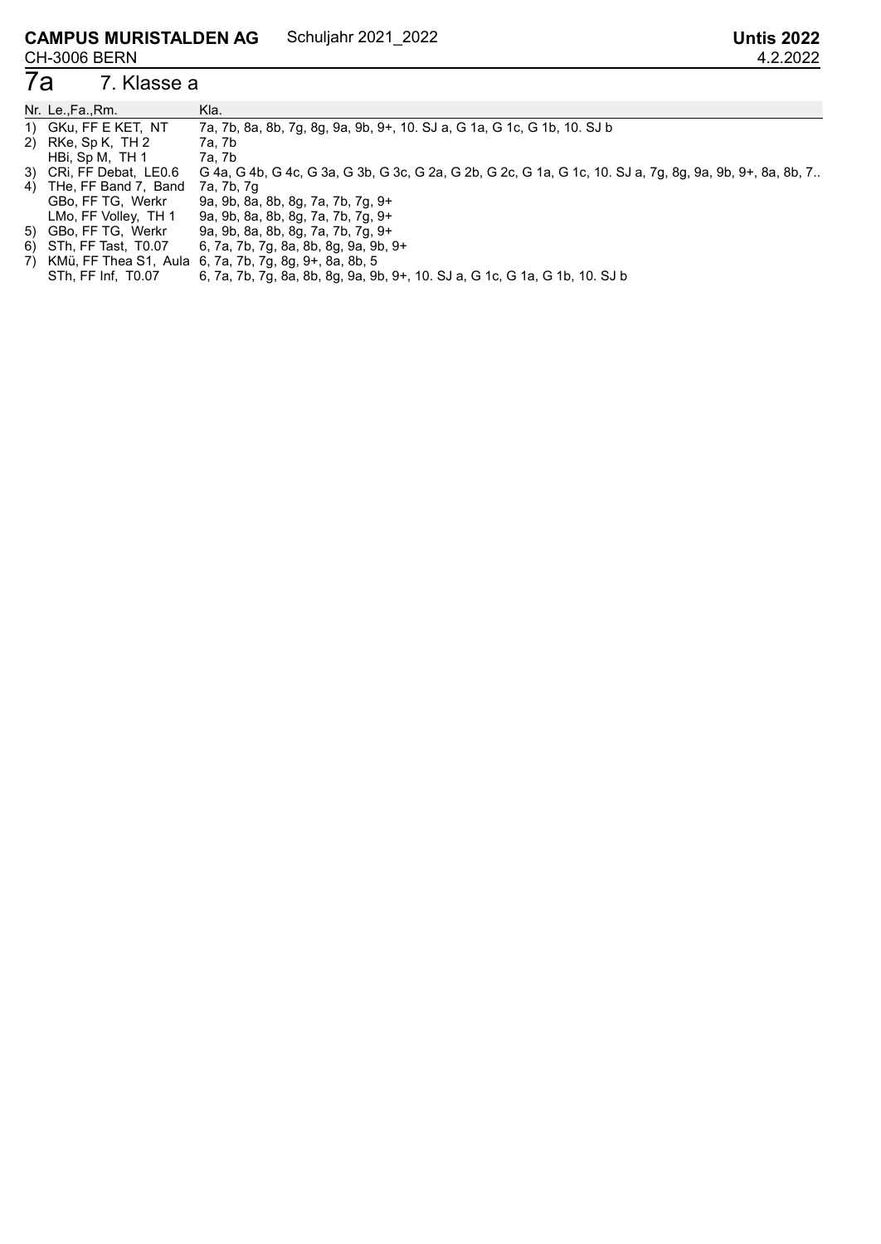#### 7. Klasse a

| Nr. Le.,Fa.,Rm.         | Kla.                                                                                                      |
|-------------------------|-----------------------------------------------------------------------------------------------------------|
| 1) GKu, FF E KET, NT    | 7a, 7b, 8a, 8b, 7g, 8g, 9a, 9b, 9+, 10. SJ a, G 1a, G 1c, G 1b, 10. SJ b                                  |
| 2) RKe, Sp K, TH 2      | 7a, 7b                                                                                                    |
| HBi, Sp M, TH 1         | 7a, 7b                                                                                                    |
| 3) CRi, FF Debat, LE0.6 | G 4a, G 4b, G 4c, G 3a, G 3b, G 3c, G 2a, G 2b, G 2c, G 1a, G 1c, 10. SJ a, 7g, 8g, 9a, 9b, 9+, 8a, 8b, 7 |
| 4) THe, FF Band 7, Band | 7a, 7b, 7g                                                                                                |
| GBo, FF TG, Werkr       | 9a, 9b, 8a, 8b, 8g, 7a, 7b, 7g, 9+                                                                        |
| LMo, FF Volley, TH 1    | 9a, 9b, 8a, 8b, 8g, 7a, 7b, 7g, 9+                                                                        |
| 5) GBo, FF TG, Werkr    | 9a, 9b, 8a, 8b, 8g, 7a, 7b, 7g, 9+                                                                        |
| 6) STh, FF Tast, T0.07  | 6, 7a, 7b, 7g, 8a, 8b, 8g, 9a, 9b, 9+                                                                     |
|                         | 7) KMü, FF Thea S1, Aula 6, 7a, 7b, 7g, 8g, 9+, 8a, 8b, 5                                                 |

STh, FF Inf, T0.07 6, 7a, 7b, 7g, 8a, 8b, 8g, 9a, 9b, 9+, 10. SJ a, G 1c, G 1a, G 1b, 10. SJ b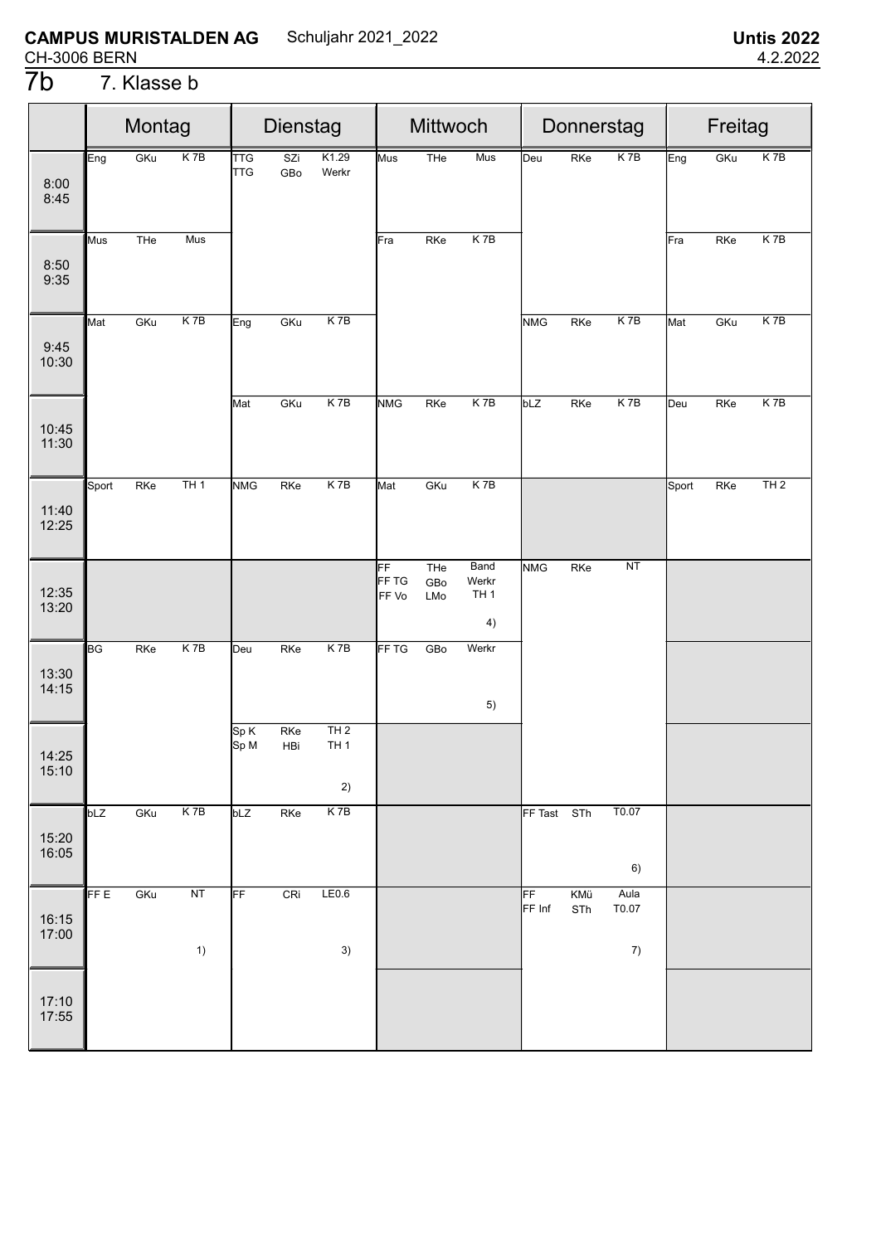# 7**b** 7. Klasse b

|                |                           | Montag<br>$K$ 7B<br>GKu |          |                          | Dienstag   |                              |                      | Mittwoch          |                                        |              |            | Donnerstag          |       | Freitag |                 |
|----------------|---------------------------|-------------------------|----------|--------------------------|------------|------------------------------|----------------------|-------------------|----------------------------------------|--------------|------------|---------------------|-------|---------|-----------------|
| 8:00<br>8:45   | Eng                       |                         |          | <b>TTG</b><br><b>TTG</b> | SZi<br>GBo | K1.29<br>Werkr               | Mus                  | THe               | Mus                                    | Deu          | RKe        | K <sub>7B</sub>     | Eng   | GKu     | K <sub>7B</sub> |
| 8:50<br>9:35   | Mus                       | THe                     | Mus      |                          |            |                              | Fra                  | RKe               | $K$ 7B                                 |              |            |                     | Fra   | RKe     | K 7B            |
| 9:45<br>10:30  | Mat                       | GKu                     | $K$ 7B   | Eng                      | GKu        | $K$ 7B                       |                      |                   |                                        | <b>NMG</b>   | RKe        | $K$ 7B              | Mat   | GKu     | $K$ 7B          |
| 10:45<br>11:30 |                           |                         |          | Mat                      | GKu        | K 7B                         | <b>NMG</b>           | RKe               | $K$ 7B                                 | bLZ          | RKe        | K 7B                | Deu   | RKe     | $K$ 7B          |
| 11:40<br>12:25 | Sport                     | RKe                     | TH1      | <b>NMG</b>               | RKe        | K 7B                         | Mat                  | GKu               | $K$ 7B                                 |              |            |                     | Sport | RKe     | TH2             |
| 12:35<br>13:20 |                           |                         |          |                          |            |                              | FF<br>FF TG<br>FF Vo | THe<br>GBo<br>LMo | Band<br>Werkr<br>TH <sub>1</sub><br>4) | <b>NMG</b>   | RKe        | NT                  |       |         |                 |
| 13:30<br>14:15 | $\overline{\mathsf{B}}$ G | RKe                     | K7B      | Deu                      | RKe        | $K$ 7B                       | FF <sub>TG</sub>     | GBo               | Werkr<br>5)                            |              |            |                     |       |         |                 |
| 14:25<br>15:10 |                           |                         |          | Sp K<br>Sp M             | RKe<br>HBi | TH2<br>TH <sub>1</sub><br>2) |                      |                   |                                        |              |            |                     |       |         |                 |
| 15:20<br>16:05 | bLZ                       | GKu                     | K7B      | bLZ                      | RKe        | K 7B                         |                      |                   |                                        | FF Tast STh  |            | T0.07<br>6)         |       |         |                 |
| 16:15<br>17:00 | FF E                      | GKu                     | NT<br>1) | FF                       | CRi        | LE0.6<br>3)                  |                      |                   |                                        | FF<br>FF Inf | KMü<br>STh | Aula<br>T0.07<br>7) |       |         |                 |
| 17:10<br>17:55 |                           |                         |          |                          |            |                              |                      |                   |                                        |              |            |                     |       |         |                 |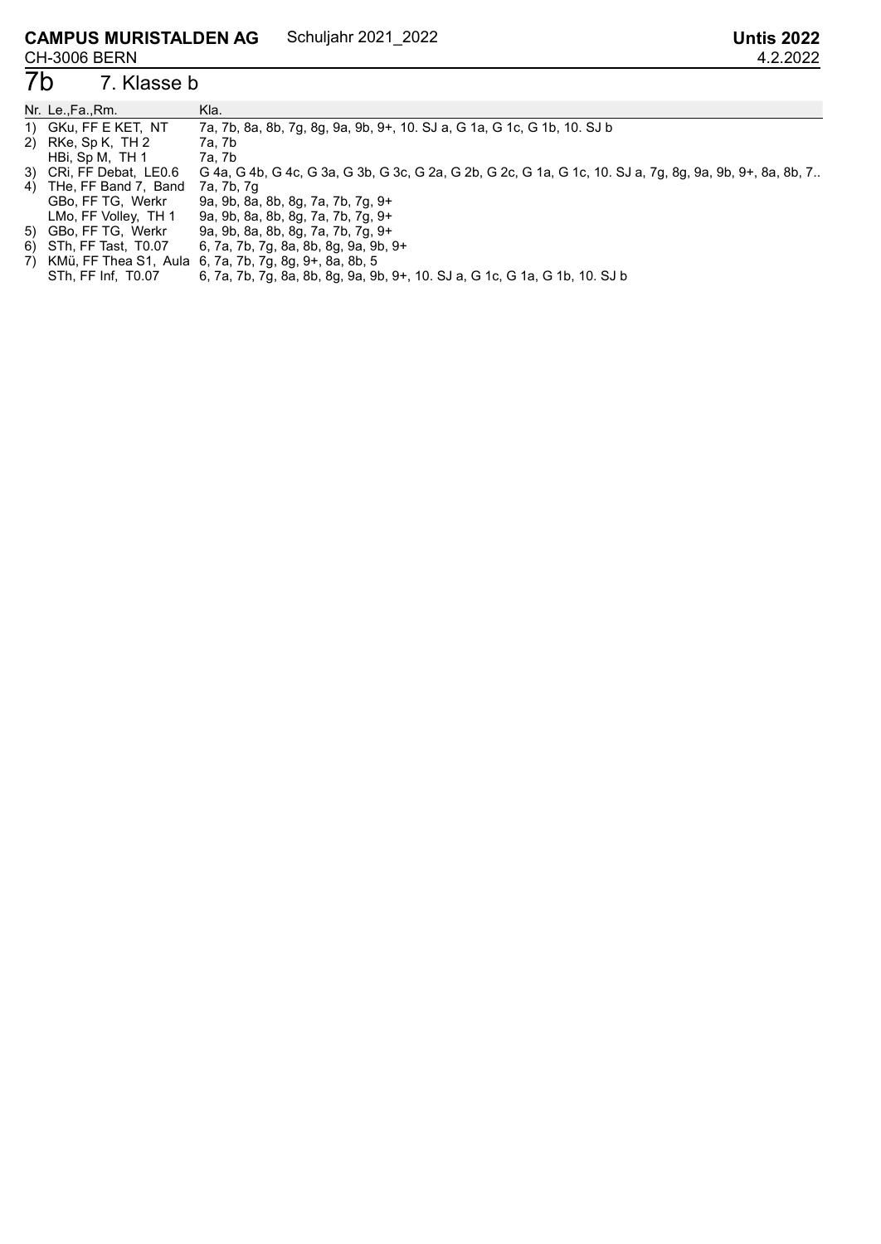### 7b 7. Klasse b

| Nr. Le.,Fa.,Rm.         | Kla.                                                                                                      |
|-------------------------|-----------------------------------------------------------------------------------------------------------|
| 1) GKu, FF E KET, NT    | 7a, 7b, 8a, 8b, 7g, 8g, 9a, 9b, 9+, 10. SJ a, G 1a, G 1c, G 1b, 10. SJ b                                  |
| 2) RKe, Sp K, TH 2      | 7a, 7b                                                                                                    |
| HBi, Sp M, TH 1         | 7a, 7b                                                                                                    |
| 3) CRI, FF Debat, LE0.6 | G 4a, G 4b, G 4c, G 3a, G 3b, G 3c, G 2a, G 2b, G 2c, G 1a, G 1c, 10. SJ a, 7g, 8g, 9a, 9b, 9+, 8a, 8b, 7 |
| 4) THe, FF Band 7, Band | 7a, 7b, 7g                                                                                                |
| GBo, FF TG, Werkr       | 9a, 9b, 8a, 8b, 8g, 7a, 7b, 7g, 9+                                                                        |
| LMo, FF Volley, TH 1    | 9a, 9b, 8a, 8b, 8g, 7a, 7b, 7g, 9+                                                                        |
| 5) GBo, FF TG, Werkr    | 9a, 9b, 8a, 8b, 8g, 7a, 7b, 7g, 9+                                                                        |
| 6) STh, FF Tast, T0.07  | 6, 7a, 7b, 7g, 8a, 8b, 8g, 9a, 9b, 9+                                                                     |
|                         | 7) KMü, FF Thea S1, Aula 6, 7a, 7b, 7g, 8g, 9+, 8a, 8b, 5                                                 |

STh, FF Inf, T0.07 6, 7a, 7b, 7g, 8a, 8b, 8g, 9a, 9b, 9+, 10. SJ a, G 1c, G 1a, G 1b, 10. SJ b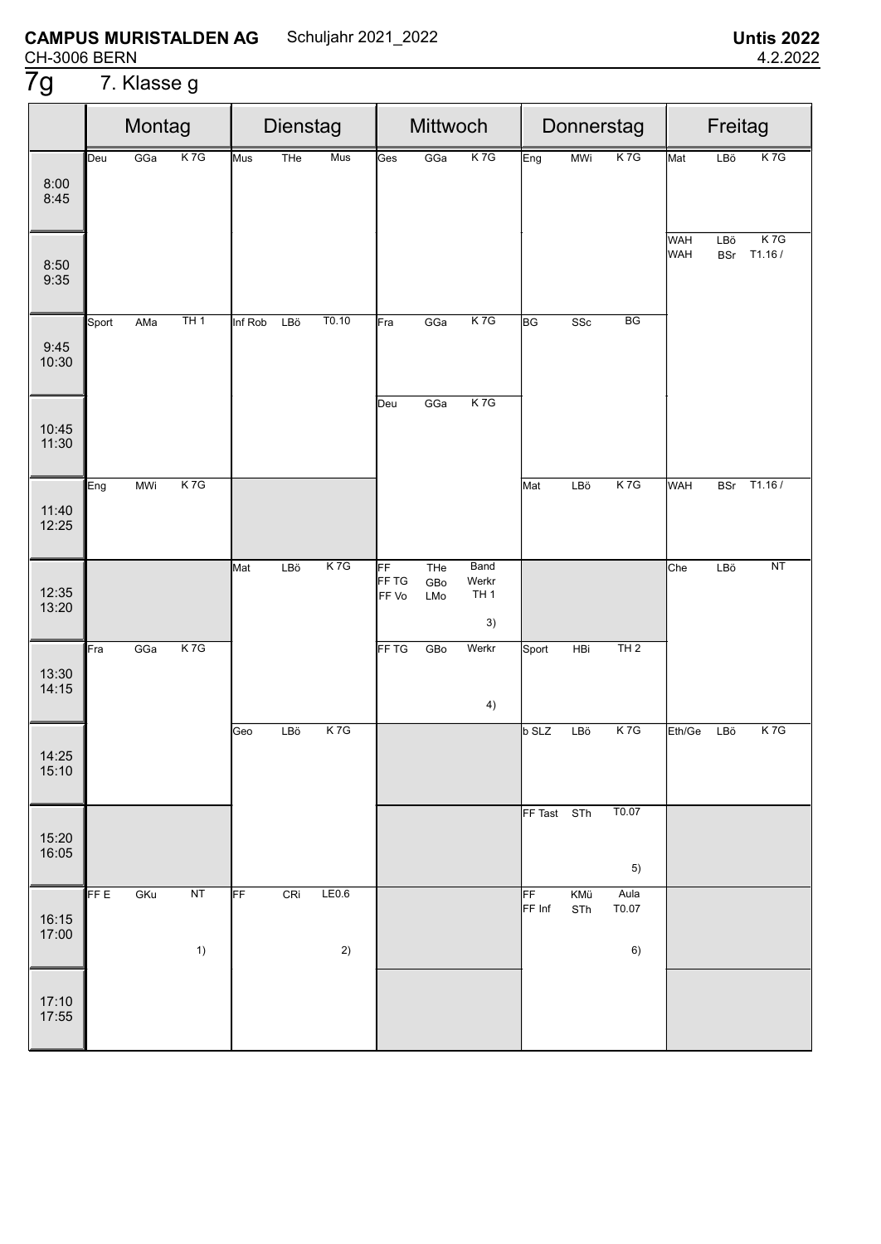# 7g 7. Klasse g

|                | Montag<br>K <sub>7G</sub><br>GGa<br>Deu |            |          | Dienstag<br>Mus<br>THe<br>Mus |     |             | Mittwoch             |                   | Donnerstag                             |              |            | Freitag             |            |                   |                           |
|----------------|-----------------------------------------|------------|----------|-------------------------------|-----|-------------|----------------------|-------------------|----------------------------------------|--------------|------------|---------------------|------------|-------------------|---------------------------|
| 8:00<br>8:45   |                                         |            |          |                               |     |             | Ges                  | GGa               | K <sub>7G</sub>                        | Eng          | <b>MWi</b> | K <sub>7G</sub>     | Mat        | LBö               | K <sub>7G</sub>           |
| 8:50<br>9:35   |                                         |            |          |                               |     |             |                      |                   |                                        |              |            |                     | WAH<br>WAH | LBö<br><b>BSr</b> | K <sub>7G</sub><br>T1.16/ |
| 9:45<br>10:30  | Sport                                   | AMa        | TH1      | Inf Rob                       | LBö | T0.10       | Fra                  | GGa               | K7G                                    | <b>BG</b>    | SSc        | BG                  |            |                   |                           |
| 10:45<br>11:30 |                                         |            |          |                               |     |             | Deu                  | GGa               | K7G                                    |              |            |                     |            |                   |                           |
| 11:40<br>12:25 | Eng                                     | <b>MWi</b> | K7G      |                               |     |             |                      |                   |                                        | Mat          | LBö        | K7G                 | WAH        | <b>BSr</b>        | T1.16/                    |
| 12:35<br>13:20 |                                         |            |          | Mat                           | LBö | K7G         | FF<br>FF TG<br>FF Vo | THe<br>GBo<br>LMo | Band<br>Werkr<br>TH <sub>1</sub><br>3) |              |            |                     | Che        | LBö               | NT                        |
| 13:30<br>14:15 | Fra                                     | GGa        | K7G      |                               |     |             | FF TG                | GBo               | Werkr<br>4)                            | Sport        | HBi        | TH2                 |            |                   |                           |
| 14:25<br>15:10 |                                         |            |          | Geo                           | LBö | K7G         |                      |                   |                                        | <b>b</b> SLZ | LBö        | K7G                 | Eth/Ge     | LBö               | K <sub>7G</sub>           |
| 15:20<br>16:05 |                                         |            |          |                               |     |             |                      |                   |                                        | FF Tast STh  |            | T0.07<br>5)         |            |                   |                           |
| 16:15<br>17:00 | FF E                                    | GKu        | NT<br>1) | FF                            | CRi | LE0.6<br>2) |                      |                   |                                        | FF<br>FF Inf | KMü<br>STh | Aula<br>T0.07<br>6) |            |                   |                           |
| 17:10<br>17:55 |                                         |            |          |                               |     |             |                      |                   |                                        |              |            |                     |            |                   |                           |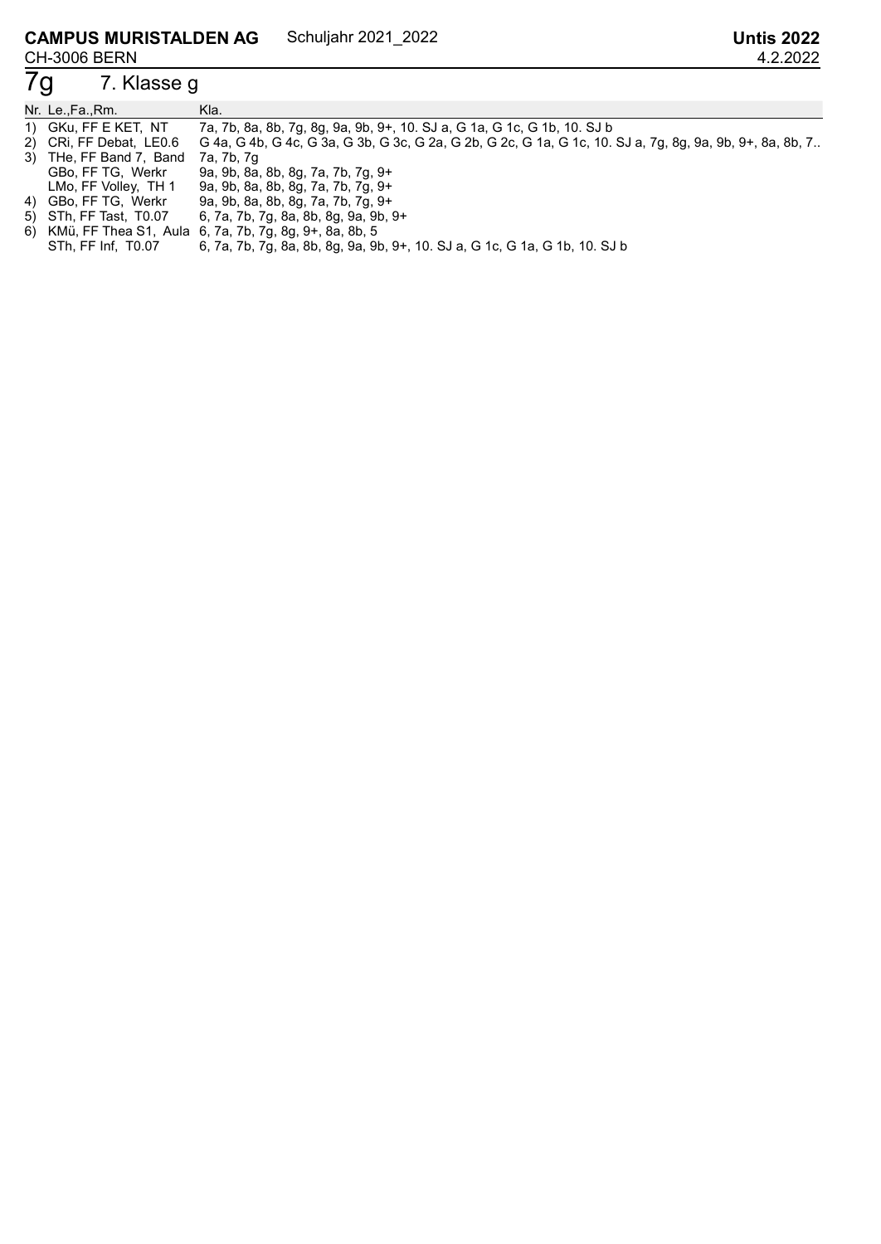# 7. Klasse g

| Nr. Le.,Fa.,Rm.                    | Kla.                                                                                                      |
|------------------------------------|-----------------------------------------------------------------------------------------------------------|
| 1) GKu, FF E KET, NT               | 7a, 7b, 8a, 8b, 7g, 8g, 9a, 9b, 9+, 10. SJ a, G 1a, G 1c, G 1b, 10. SJ b                                  |
| 2) CRi, FF Debat, LE0.6            | G 4a, G 4b, G 4c, G 3a, G 3b, G 3c, G 2a, G 2b, G 2c, G 1a, G 1c, 10. SJ a, 7g, 8g, 9a, 9b, 9+, 8a, 8b, 7 |
| 3) THe, FF Band 7, Band 7a, 7b, 7g |                                                                                                           |
| GBo, FF TG, Werkr                  | 9a, 9b, 8a, 8b, 8g, 7a, 7b, 7g, 9+                                                                        |
| LMo, FF Volley, TH 1               | 9a, 9b, 8a, 8b, 8g, 7a, 7b, 7g, 9+                                                                        |
| 4) GBo, FF TG, Werkr               | 9a, 9b, 8a, 8b, 8g, 7a, 7b, 7g, 9+                                                                        |
| 5) STh, FF Tast, T0.07             | 6, 7a, 7b, 7g, 8a, 8b, 8g, 9a, 9b, 9+                                                                     |
|                                    | 6) KMü, FF Thea S1, Aula 6, 7a, 7b, 7g, 8g, 9+, 8a, 8b, 5                                                 |

STh, FF Inf, T0.07 6, 7a, 7b, 7g, 8a, 8b, 8g, 9a, 9b, 9+, 10. SJ a, G 1c, G 1a, G 1b, 10. SJ b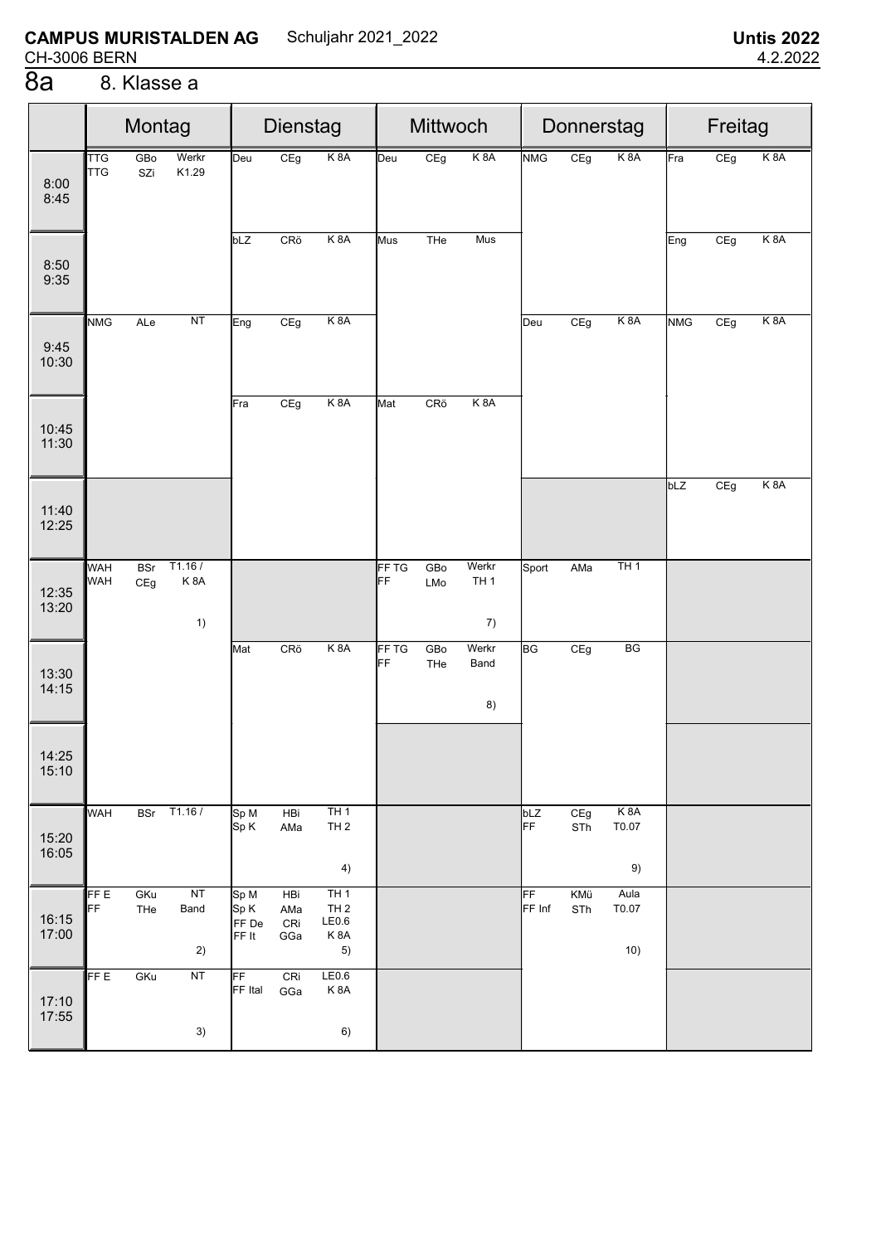#### **CAMPUS MURISTALDEN AG** Schuljahr 2021\_2022 **CH-3006 BERN**

#### $\overline{8a}$ 8. Klasse a

|                | Montag<br>GBo<br>Werkr<br><b>TTG</b><br><b>TTG</b><br>K1.29<br>SZi |                   |                     | Dienstag                       |                          |                                              | Mittwoch           |            |                                  | Donnerstag   |            | Freitag                                  |            |     |                  |
|----------------|--------------------------------------------------------------------|-------------------|---------------------|--------------------------------|--------------------------|----------------------------------------------|--------------------|------------|----------------------------------|--------------|------------|------------------------------------------|------------|-----|------------------|
| 8:00<br>8:45   |                                                                    |                   |                     | Deu                            | CEg                      | K <sub>8</sub> A                             | Deu                | CEg        | K <sub>8</sub> A                 | <b>NMG</b>   | CEg        | K <sub>8</sub> A                         | Fra        | CEg | K <sub>8</sub> A |
| 8:50<br>9:35   |                                                                    |                   |                     | bLZ                            | CRö                      | K 8A                                         | Mus                | THe        | Mus                              |              |            |                                          | Eng        | CEg | K 8A             |
| 9:45<br>10:30  | <b>NMG</b>                                                         | ALe               | NT                  | Eng                            | CEg                      | K <sub>8</sub> A                             |                    |            |                                  | Deu          | CEg        | K <sub>8</sub> A                         | <b>NMG</b> | CEg | K <sub>8</sub> A |
| 10:45<br>11:30 |                                                                    |                   |                     | Fra                            | CEg                      | K 8A                                         | Mat                | CRö        | K <sub>8</sub> A                 |              |            |                                          |            |     |                  |
| 11:40<br>12:25 |                                                                    |                   |                     |                                |                          |                                              |                    |            |                                  |              |            |                                          | bLZ        | CEg | K 8A             |
| 12:35<br>13:20 | <b>WAH</b><br><b>WAH</b>                                           | <b>BSr</b><br>CEg | T1.16/<br>K8A<br>1) |                                |                          |                                              | <b>FF TG</b><br>FF | GBo<br>LMo | Werkr<br>TH <sub>1</sub><br>$7)$ | Sport        | AMa        | TH1                                      |            |     |                  |
| 13:30<br>14:15 |                                                                    |                   |                     | Mat                            | CRö                      | K <sub>8</sub> A                             | FF TG<br>FF        | GBo<br>THe | Werkr<br>Band<br>8)              | <b>BG</b>    | CEg        | BG                                       |            |     |                  |
| 14:25<br>15:10 |                                                                    |                   |                     |                                |                          |                                              |                    |            |                                  |              |            |                                          |            |     |                  |
| 15:20<br>16:05 | WAH                                                                |                   | BSr T1.16 /         | Sp M<br>Sp K                   | HBi<br>AMa               | TH1<br>TH2<br>4)                             |                    |            |                                  | bLZ<br>FF    | CEg<br>STh | K <sub>8</sub> A<br>$\text{T}0.07$<br>9) |            |     |                  |
| 16:15<br>17:00 | FF E<br>FF                                                         | GKu<br>THe        | NT<br>Band<br>2)    | Sp M<br>Sp K<br>FF De<br>FF It | HBi<br>AMa<br>CRi<br>GGa | TH1<br>TH <sub>2</sub><br>LE0.6<br>K8A<br>5) |                    |            |                                  | FF<br>FF Inf | KMü<br>STh | Aula<br>T0.07<br>10)                     |            |     |                  |
| 17:10<br>17:55 | FF E                                                               | GKu               | NT<br>3)            | FF<br>FF Ital                  | CRi<br>GGa               | LE0.6<br>K8A<br>6)                           |                    |            |                                  |              |            |                                          |            |     |                  |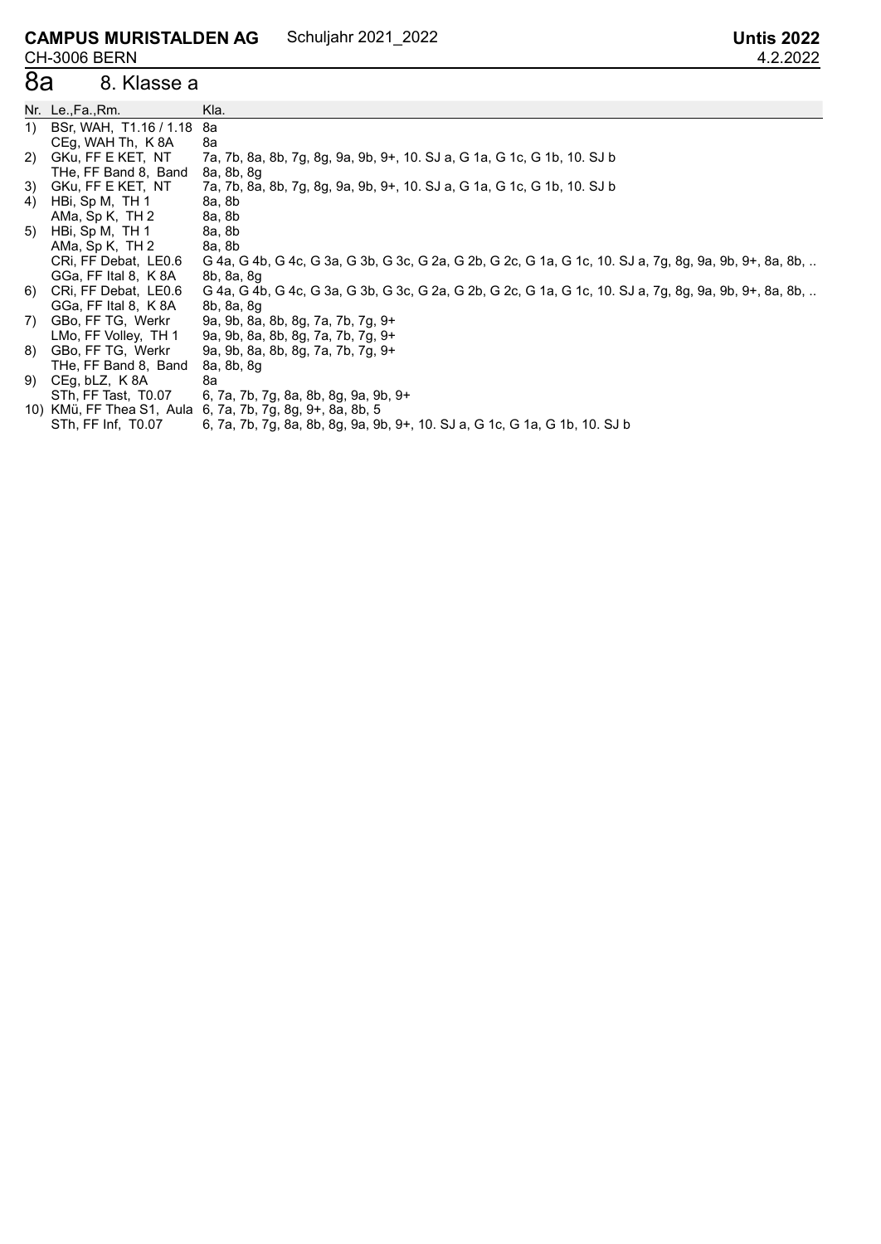#### **CAMPUS MURISTALDEN AG** CH-3006 BERN<br>8a 8. Kla Schuljahr 2021\_2022 **Untis 2022**

#### 8. Klasse a

|    | Nr. Le.,Fa.,Rm.        | Kla.                                                                                                    |
|----|------------------------|---------------------------------------------------------------------------------------------------------|
| 1) | BSr, WAH, T1.16 / 1.18 | 8a                                                                                                      |
|    | CEg, WAH Th, K 8A      | 8а                                                                                                      |
| 2) | GKu, FF E KET, NT      | 7a, 7b, 8a, 8b, 7g, 8g, 9a, 9b, 9+, 10. SJ a, G 1a, G 1c, G 1b, 10. SJ b                                |
|    | THe, FF Band 8, Band   | 8a, 8b, 8g                                                                                              |
|    | 3) GKu, FF E KET, NT   | 7a, 7b, 8a, 8b, 7g, 8g, 9a, 9b, 9+, 10. SJ a, G 1a, G 1c, G 1b, 10. SJ b                                |
| 4) | HBi, Sp M, TH 1        | 8a, 8b                                                                                                  |
|    | AMa, Sp K, TH 2        | 8a, 8b                                                                                                  |
| 5) | HBi, Sp M, TH 1        | 8a, 8b                                                                                                  |
|    | AMa, Sp K, TH 2        | 8a, 8b                                                                                                  |
|    | CRI, FF Debat, LE0.6   | G 4a, G 4b, G 4c, G 3a, G 3b, G 3c, G 2a, G 2b, G 2c, G 1a, G 1c, 10. SJ a, 7g, 8g, 9a, 9b, 9+, 8a, 8b, |
|    | GGa, FF Ital 8, K 8A   | 8b, 8a, 8g                                                                                              |
| 6) | CRI, FF Debat, LE0.6   | G 4a, G 4b, G 4c, G 3a, G 3b, G 3c, G 2a, G 2b, G 2c, G 1a, G 1c, 10. SJ a, 7g, 8g, 9a, 9b, 9+, 8a, 8b, |
|    | GGa, FF Ital 8, K 8A   | 8b, 8a, 8g                                                                                              |
| 7) | GBo, FF TG, Werkr      | 9a, 9b, 8a, 8b, 8g, 7a, 7b, 7g, 9+                                                                      |
|    | LMo, FF Volley, TH 1   | 9a, 9b, 8a, 8b, 8g, 7a, 7b, 7g, 9+                                                                      |
| 8) | GBo, FF TG, Werkr      | 9a, 9b, 8a, 8b, 8g, 7a, 7b, 7g, 9+                                                                      |
|    | THe, FF Band 8, Band   | 8a, 8b, 8g                                                                                              |
| 9) | CEg, bLZ, K8A          | 8а                                                                                                      |
|    | STh, FF Tast, T0.07    | 6, 7a, 7b, 7g, 8a, 8b, 8g, 9a, 9b, 9+                                                                   |
|    |                        | 10) KMü, FF Thea S1, Aula 6, 7a, 7b, 7g, 8g, 9+, 8a, 8b, 5                                              |
|    | STh, FF Inf, T0.07     | 6, 7a, 7b, 7g, 8a, 8b, 8g, 9a, 9b, 9+, 10. SJ a, G 1c, G 1a, G 1b, 10. SJ b                             |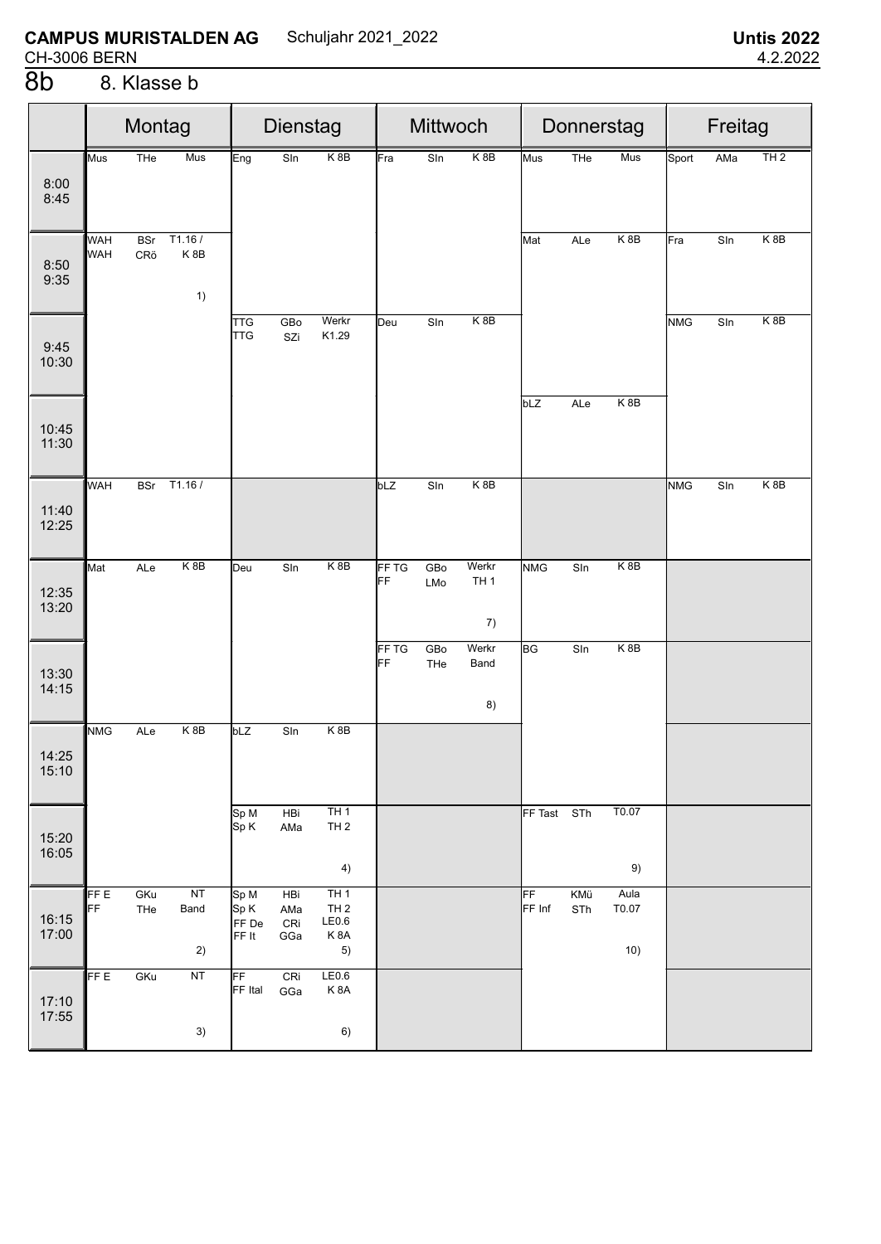# 8. Klasse b

|                |                          | Montag            |                     | Dienstag                       |                          |                                              | Mittwoch    |                 |                                |              |                 | Donnerstag           | Freitag    |                          |                  |  |
|----------------|--------------------------|-------------------|---------------------|--------------------------------|--------------------------|----------------------------------------------|-------------|-----------------|--------------------------------|--------------|-----------------|----------------------|------------|--------------------------|------------------|--|
| 8:00<br>8:45   | Mus                      | THe               | Mus                 | Eng                            | Sln                      | K <sub>8</sub> B                             | Fra         | Sln             | K <sub>8</sub> B               | Mus          | THe             | Mus                  | Sport      | AMa                      | TH2              |  |
| 8:50<br>9:35   | <b>WAH</b><br><b>WAH</b> | <b>BSr</b><br>CRö | T1.16/<br>K8B<br>1) |                                |                          |                                              |             |                 |                                | Mat          | ALe             | K <sub>8</sub> B     | Fra        | S <sub>In</sub>          | K <sub>8</sub> B |  |
| 9:45<br>10:30  |                          |                   |                     | <b>TTG</b><br><b>TTG</b>       | GBo<br>SZi               | Werkr<br>K1.29                               | Deu         | S <sub>In</sub> | K 8B                           |              |                 |                      | <b>NMG</b> | $\overline{\text{S}}$ In | K <sub>8</sub> B |  |
| 10:45<br>11:30 |                          |                   |                     |                                |                          |                                              |             |                 |                                | bLZ          | ALe             | K8B                  |            |                          |                  |  |
| 11:40<br>12:25 | <b>WAH</b>               | <b>BSr</b>        | T1.16/              |                                |                          |                                              | bLZ         | S <sub>In</sub> | K 8B                           |              |                 |                      | <b>NMG</b> | Sln                      | K <sub>8</sub> B |  |
| 12:35<br>13:20 | Mat                      | ALe               | K8B                 | Deu                            | S <sub>In</sub>          | K 8B                                         | FF TG<br>FF | GBo<br>LMo      | Werkr<br>TH <sub>1</sub><br>7) | <b>NMG</b>   | S <sub>In</sub> | K8B                  |            |                          |                  |  |
| 13:30<br>14:15 |                          |                   |                     |                                |                          |                                              | FF TG<br>FF | GBo<br>THe      | Werkr<br>Band<br>8)            | <b>BG</b>    | Sln             | $K$ 8B               |            |                          |                  |  |
| 14:25<br>15:10 | <b>NMG</b>               | ALe               | K8B                 | bLZ                            | S <sub>In</sub>          | K8B                                          |             |                 |                                |              |                 |                      |            |                          |                  |  |
| 15:20<br>16:05 |                          |                   |                     | Sp M<br>Sp K                   | HBi<br>AMa               | TH1<br>TH <sub>2</sub><br>4)                 |             |                 |                                | FF Tast      | STh             | T0.07<br>9)          |            |                          |                  |  |
| 16:15<br>17:00 | FF E<br>FF               | GKu<br>THe        | NT<br>Band<br>2)    | Sp M<br>Sp K<br>FF De<br>FF It | HBi<br>AMa<br>CRi<br>GGa | TH1<br>TH <sub>2</sub><br>LE0.6<br>K8A<br>5) |             |                 |                                | FF<br>FF Inf | KMü<br>STh      | Aula<br>T0.07<br>10) |            |                          |                  |  |
| 17:10<br>17:55 | FF E                     | GKu               | NT<br>3)            | FF<br>FF Ital                  | CRi<br>GGa               | LE0.6<br>K <sub>8</sub> A<br>6)              |             |                 |                                |              |                 |                      |            |                          |                  |  |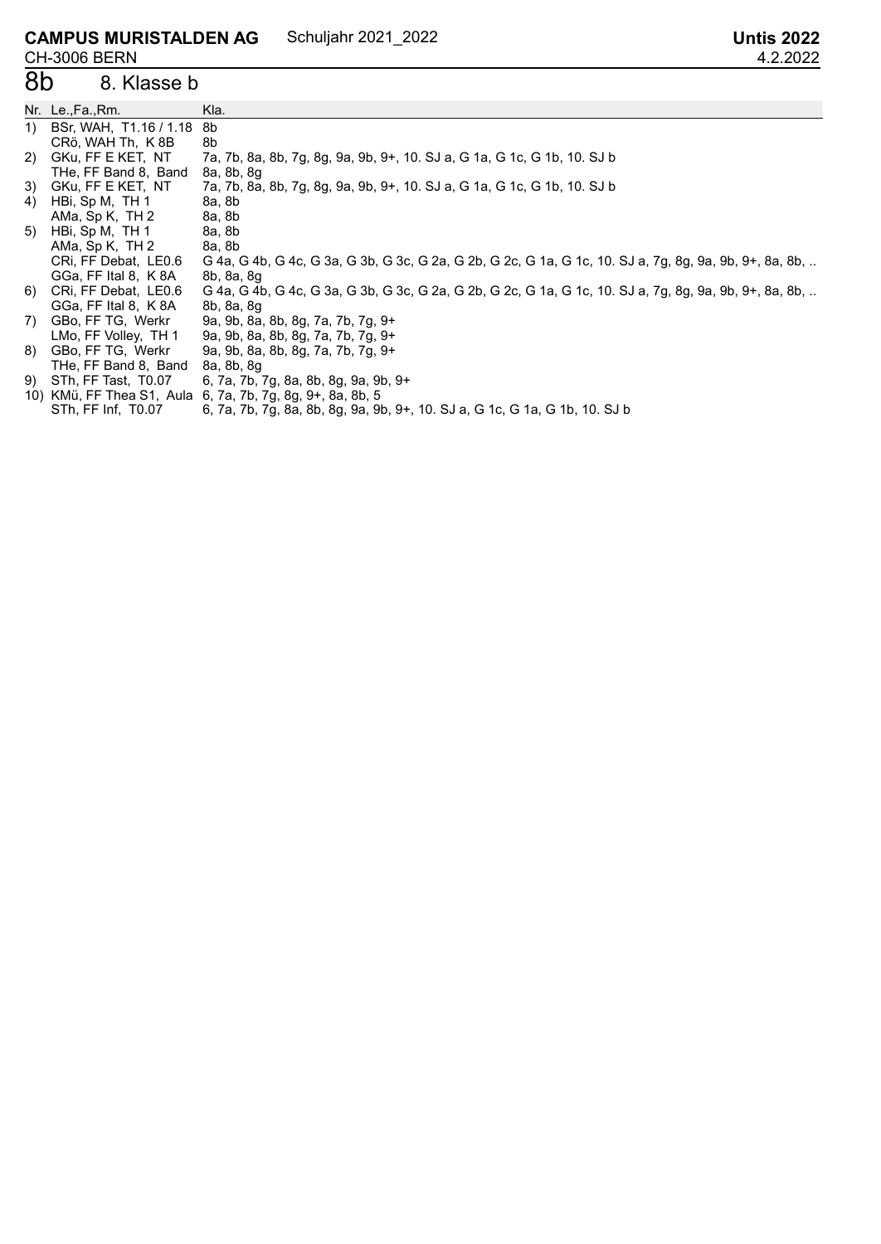#### **CAMPUS MURISTALDEN AG CH-3006 BERN**<br>**8D** 8. KI Schuljahr 2021\_2022 **Untis 2022**

# 8. Klasse b

|    | Nr. Le.,Fa.,Rm.                | Kla.                                                                                                    |
|----|--------------------------------|---------------------------------------------------------------------------------------------------------|
| 1) | BSr, WAH, T1.16 / 1.18         | -8b                                                                                                     |
|    | CR <sub>Ö</sub> , WAH Th, K 8B | 8b                                                                                                      |
| 2) | GKu, FF E KET, NT              | 7a, 7b, 8a, 8b, 7g, 8g, 9a, 9b, 9+, 10. SJ a, G 1a, G 1c, G 1b, 10. SJ b                                |
|    | THe, FF Band 8, Band           | 8a, 8b, 8g                                                                                              |
| 3) | GKu, FF E KET, NT              | 7a, 7b, 8a, 8b, 7g, 8g, 9a, 9b, 9+, 10. SJ a, G 1a, G 1c, G 1b, 10. SJ b                                |
| 4) | HBi, Sp M, TH 1                | 8a, 8b                                                                                                  |
|    | AMa, Sp K, TH 2                | 8a, 8b                                                                                                  |
| 5) | HBi, Sp M, TH 1                | 8a, 8b                                                                                                  |
|    | AMa, Sp K, TH 2                | 8a, 8b                                                                                                  |
|    | CRI, FF Debat, LE0.6           | G 4a, G 4b, G 4c, G 3a, G 3b, G 3c, G 2a, G 2b, G 2c, G 1a, G 1c, 10. SJ a, 7g, 8g, 9a, 9b, 9+, 8a, 8b, |
|    | GGa, FF Ital 8, K 8A           | 8b, 8a, 8g                                                                                              |
| 6) | CRi, FF Debat, LE0.6           | G 4a, G 4b, G 4c, G 3a, G 3b, G 3c, G 2a, G 2b, G 2c, G 1a, G 1c, 10. SJ a, 7g, 8g, 9a, 9b, 9+, 8a, 8b, |
|    | GGa, FF Ital 8, K 8A           | 8b, 8a, 8g                                                                                              |
| 7) | GBo, FF TG, Werkr              | 9a, 9b, 8a, 8b, 8g, 7a, 7b, 7g, 9+                                                                      |
|    | LMo, FF Volley, TH 1           | 9a, 9b, 8a, 8b, 8g, 7a, 7b, 7g, 9+                                                                      |
| 8) | GBo, FF TG, Werkr              | 9a, 9b, 8a, 8b, 8g, 7a, 7b, 7g, 9+                                                                      |
|    | THe, FF Band 8, Band           | 8a, 8b, 8q                                                                                              |
|    | 9) STh, FF Tast, T0.07         | 6, 7a, 7b, 7g, 8a, 8b, 8g, 9a, 9b, 9+                                                                   |
|    |                                | 10) KMü, FF Thea S1, Aula 6, 7a, 7b, 7g, 8g, 9+, 8a, 8b, 5                                              |
|    | STh, FF Inf, T0.07             | 6, 7a, 7b, 7g, 8a, 8b, 8g, 9a, 9b, 9+, 10. SJ a, G 1c, G 1a, G 1b, 10. SJ b                             |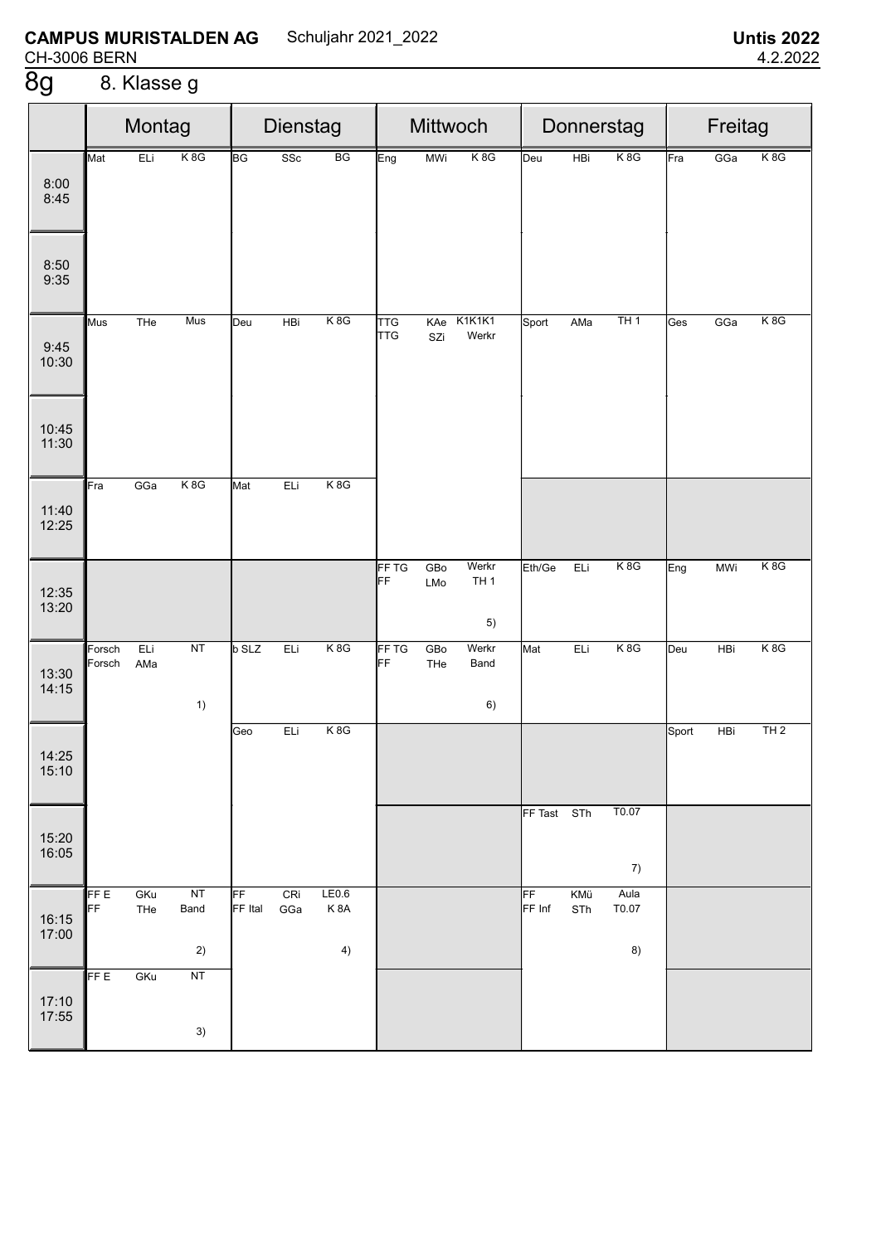# 8. Klasse g

|                |                  | Montag     |                  | Dienstag      |            |                    | Mittwoch                 |            |                                |              |            | Donnerstag          | Freitag |            |     |  |
|----------------|------------------|------------|------------------|---------------|------------|--------------------|--------------------------|------------|--------------------------------|--------------|------------|---------------------|---------|------------|-----|--|
| 8:00<br>8:45   | Mat              | ELi        | K <sub>8</sub> G | <b>BG</b>     | SSc        | BG                 | Eng                      | <b>MWi</b> | K8G                            | Deu          | HBi        | K8G                 | Fra     | GGa        | K8G |  |
| 8:50<br>9:35   |                  |            |                  |               |            |                    |                          |            |                                |              |            |                     |         |            |     |  |
| 9:45<br>10:30  | Mus              | THe        | Mus              | Deu           | HBi        | K8G                | <b>TTG</b><br><b>TTG</b> | KAe<br>SZi | K1K1K1<br>Werkr                | Sport        | AMa        | TH1                 | Ges     | GGa        | K8G |  |
| 10:45<br>11:30 |                  |            |                  |               |            |                    |                          |            |                                |              |            |                     |         |            |     |  |
| 11:40<br>12:25 | Fra              | GGa        | K8G              | Mat           | ELi        | K8G                |                          |            |                                |              |            |                     |         |            |     |  |
| 12:35<br>13:20 |                  |            |                  |               |            |                    | <b>FF TG</b><br>FF       | GBo<br>LMo | Werkr<br>TH <sub>1</sub><br>5) | Eth/Ge       | ELi        | K8G                 | Eng     | <b>MWi</b> | K8G |  |
| 13:30<br>14:15 | Forsch<br>Forsch | ELi<br>AMa | NT<br>1)         | <b>b</b> SLZ  | ELi        | K8G                | FF TG<br>FF              | GBo<br>THe | Werkr<br>Band<br>6)            | Mat          | ELi        | K8G                 | Deu     | HBi        | K8G |  |
| 14:25<br>15:10 |                  |            |                  | Geo           | ELi        | K8G                |                          |            |                                |              |            |                     | Sport   | HBi        | TH2 |  |
| 15:20<br>16:05 |                  |            |                  |               |            |                    |                          |            |                                | FF Tast      | STh        | T0.07<br>7)         |         |            |     |  |
| 16:15<br>17:00 | FF E<br>FF       | GKu<br>THe | NT<br>Band<br>2) | FF<br>FF Ital | CRi<br>GGa | LE0.6<br>K8A<br>4) |                          |            |                                | FF<br>FF Inf | KMü<br>STh | Aula<br>T0.07<br>8) |         |            |     |  |
| 17:10<br>17:55 | FF E             | GKu        | NT<br>3)         |               |            |                    |                          |            |                                |              |            |                     |         |            |     |  |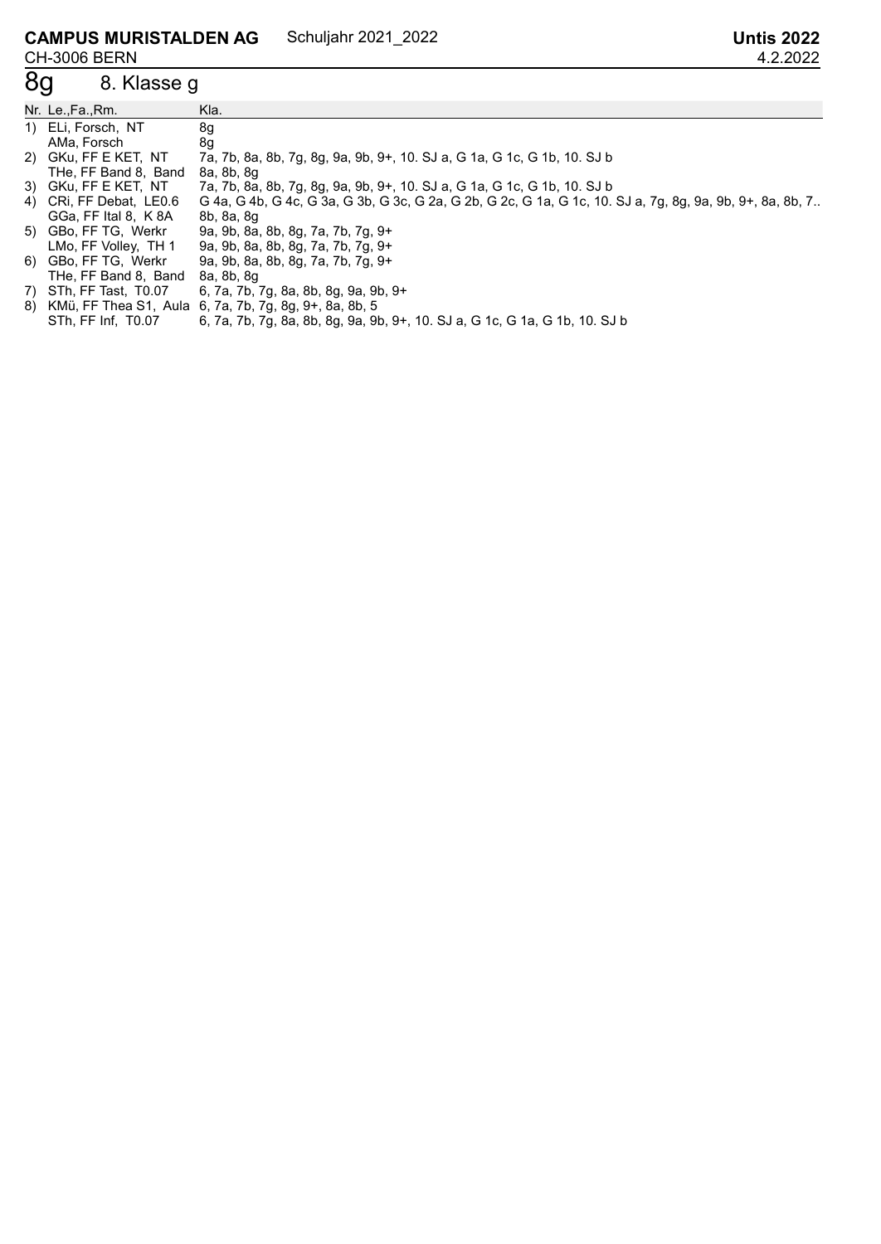#### **CAMPUS MURISTALDEN AG** CH-3006 BERN Schuljahr 2021\_2022 **Untis 2022**

# 8g 8. Klasse g

| Nr. Le.,Fa.,Rm.         | Kla.                                                                                                      |
|-------------------------|-----------------------------------------------------------------------------------------------------------|
| 1) ELi, Forsch, NT      | 8g                                                                                                        |
| AMa, Forsch             | 8g                                                                                                        |
| 2) GKu, FF E KET, NT    | 7a, 7b, 8a, 8b, 7g, 8g, 9a, 9b, 9+, 10. SJ a, G 1a, G 1c, G 1b, 10. SJ b                                  |
| THe, FF Band 8, Band    | 8a, 8b, 8q                                                                                                |
| 3) GKu, FF E KET, NT    | 7a, 7b, 8a, 8b, 7g, 8g, 9a, 9b, 9+, 10. SJ a, G 1a, G 1c, G 1b, 10. SJ b                                  |
| 4) CRi, FF Debat, LE0.6 | G 4a, G 4b, G 4c, G 3a, G 3b, G 3c, G 2a, G 2b, G 2c, G 1a, G 1c, 10. SJ a, 7g, 8g, 9a, 9b, 9+, 8a, 8b, 7 |
| GGa, FF Ital 8, K 8A    | 8b, 8a, 8g                                                                                                |
| 5) GBo, FF TG, Werkr    | 9a, 9b, 8a, 8b, 8g, 7a, 7b, 7g, 9+                                                                        |
| LMo, FF Volley, TH 1    | 9a, 9b, 8a, 8b, 8g, 7a, 7b, 7g, 9+                                                                        |
| 6) GBo, FF TG, Werkr    | 9a, 9b, 8a, 8b, 8g, 7a, 7b, 7g, 9+                                                                        |
| THe, FF Band 8, Band    | 8a, 8b, 8q                                                                                                |
| 7) STh, FF Tast, T0.07  | 6, 7a, 7b, 7g, 8a, 8b, 8g, 9a, 9b, 9+                                                                     |
|                         | 8) KMü, FF Thea S1, Aula 6, 7a, 7b, 7g, 8g, 9+, 8a, 8b, 5                                                 |
| STh, FF Inf, T0.07      | 6, 7a, 7b, 7g, 8a, 8b, 8g, 9a, 9b, 9+, 10. SJ a, G 1c, G 1a, G 1b, 10. SJ b                               |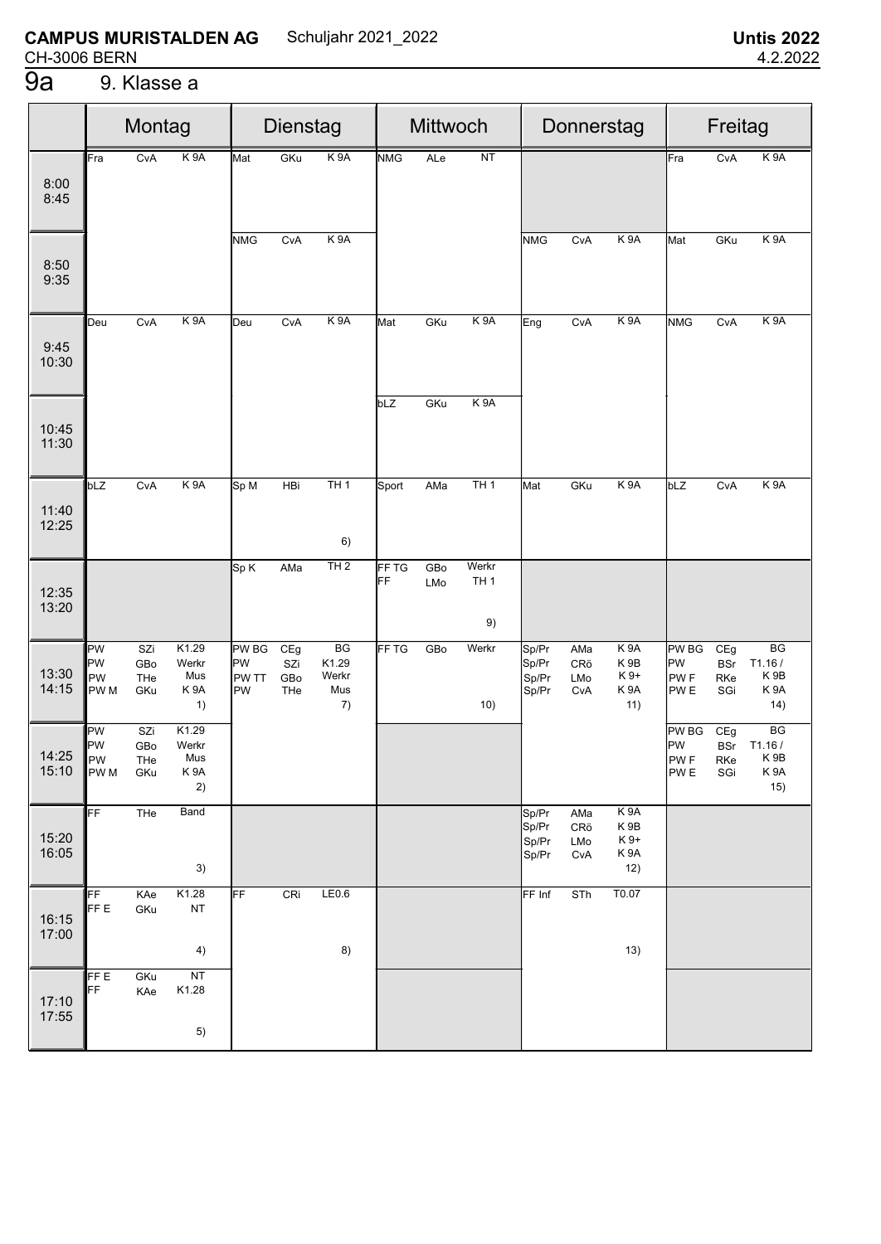#### $\overline{9a}$ 9. Klasse a

|                |                                      | Montag                   |                                                 | <b>Dienstag</b>                          |                          |                                   |                  | Mittwoch   |                                |                                  | Donnerstag               |                                                                        |                                                          | Freitag                         |                                                            |  |  |
|----------------|--------------------------------------|--------------------------|-------------------------------------------------|------------------------------------------|--------------------------|-----------------------------------|------------------|------------|--------------------------------|----------------------------------|--------------------------|------------------------------------------------------------------------|----------------------------------------------------------|---------------------------------|------------------------------------------------------------|--|--|
| 8:00<br>8:45   | Fra                                  | CvA                      | K <sub>9</sub> A                                | Mat                                      | GKu                      | K <sub>9</sub> A                  | <b>NMG</b>       | ALe        | NT                             |                                  |                          |                                                                        | Fra                                                      | CvA                             | K <sub>9</sub> A                                           |  |  |
| 8:50<br>9:35   |                                      |                          |                                                 | <b>NMG</b>                               | CvA                      | K 9A                              |                  |            |                                | <b>NMG</b>                       | CvA                      | K <sub>9</sub> A                                                       | Mat                                                      | GKu                             | K 9A                                                       |  |  |
| 9:45<br>10:30  | Deu                                  | CvA                      | K <sub>9</sub> A                                | Deu                                      | CvA                      | K <sub>9</sub> A                  | Mat              | GKu        | K <sub>9</sub> A               | Eng                              | CvA                      | K <sub>9</sub> A                                                       | <b>NMG</b>                                               | CvA                             | K <sub>9</sub> A                                           |  |  |
| 10:45<br>11:30 |                                      |                          |                                                 |                                          |                          |                                   | bLZ              | GKu        | K <sub>9</sub> A               |                                  |                          |                                                                        |                                                          |                                 |                                                            |  |  |
| 11:40<br>12:25 | bLZ                                  | CvA                      | K 9A                                            | Sp M                                     | HBi                      | TH1<br>6)                         | Sport            | AMa        | TH1                            | Mat                              | GKu                      | K 9A                                                                   | bLZ                                                      | CvA                             | K <sub>9</sub> A                                           |  |  |
| 12:35<br>13:20 |                                      |                          |                                                 | Sp K                                     | AMa                      | TH2                               | FF TG<br>FF      | GBo<br>LMo | Werkr<br>TH <sub>1</sub><br>9) |                                  |                          |                                                                        |                                                          |                                 |                                                            |  |  |
| 13:30<br>14:15 | PW<br>PW<br>PW<br>PW <sub>M</sub>    | SZi<br>GBo<br>THe<br>GKu | K1.29<br>Werkr<br>Mus<br>K <sub>9</sub> A<br>1) | <b>PW BG</b><br>PW<br>PW TT<br><b>PW</b> | CEg<br>SZi<br>GBo<br>THe | BG<br>K1.29<br>Werkr<br>Mus<br>7) | FF <sub>TG</sub> | GBo        | Werkr<br>10)                   | Sp/Pr<br>Sp/Pr<br>Sp/Pr<br>Sp/Pr | AMa<br>CRö<br>LMo<br>CvA | K <sub>9</sub> A<br>K <sub>9B</sub><br>K 9+<br>K <sub>9</sub> A<br>11) | <b>PW BG</b><br>PW<br>PW <sub>F</sub><br>PW <sub>E</sub> | CEg<br><b>BSr</b><br>RKe<br>SGi | BG<br>T1.16/<br>K <sub>9B</sub><br>K <sub>9</sub> A<br>14) |  |  |
| 14:25<br>15:10 | PW<br>PW<br><b>IPW</b><br><b>PWM</b> | SZi<br>GBo<br>THe<br>GKu | K1.29<br>Werkr<br>Mus<br>K <sub>9</sub> A<br>2) |                                          |                          |                                   |                  |            |                                |                                  |                          |                                                                        | PW BG<br><b>PW</b><br><b>PWF</b><br>PW <sub>E</sub>      | CEg<br><b>BSr</b><br>RKe<br>SGi | BG<br>T1.16/<br>K <sub>9</sub> B<br>K 9A<br>15)            |  |  |
| 15:20<br>16:05 | FF                                   | THe                      | Band<br>3)                                      |                                          |                          |                                   |                  |            |                                | Sp/Pr<br>Sp/Pr<br>Sp/Pr<br>Sp/Pr | AMa<br>CRö<br>LMo<br>CvA | K 9A<br>K9B<br>K 9+<br>K9A<br>12)                                      |                                                          |                                 |                                                            |  |  |
| 16:15<br>17:00 | FF<br>FF E                           | KAe<br>GKu               | K1.28<br><b>NT</b><br>4)                        | FF                                       | CRi                      | LE0.6<br>8)                       |                  |            |                                | FF Inf                           | STh                      | T0.07<br>13)                                                           |                                                          |                                 |                                                            |  |  |
| 17:10<br>17:55 | FF E<br>FF.                          | GKu<br>KAe               | NT<br>K1.28<br>5)                               |                                          |                          |                                   |                  |            |                                |                                  |                          |                                                                        |                                                          |                                 |                                                            |  |  |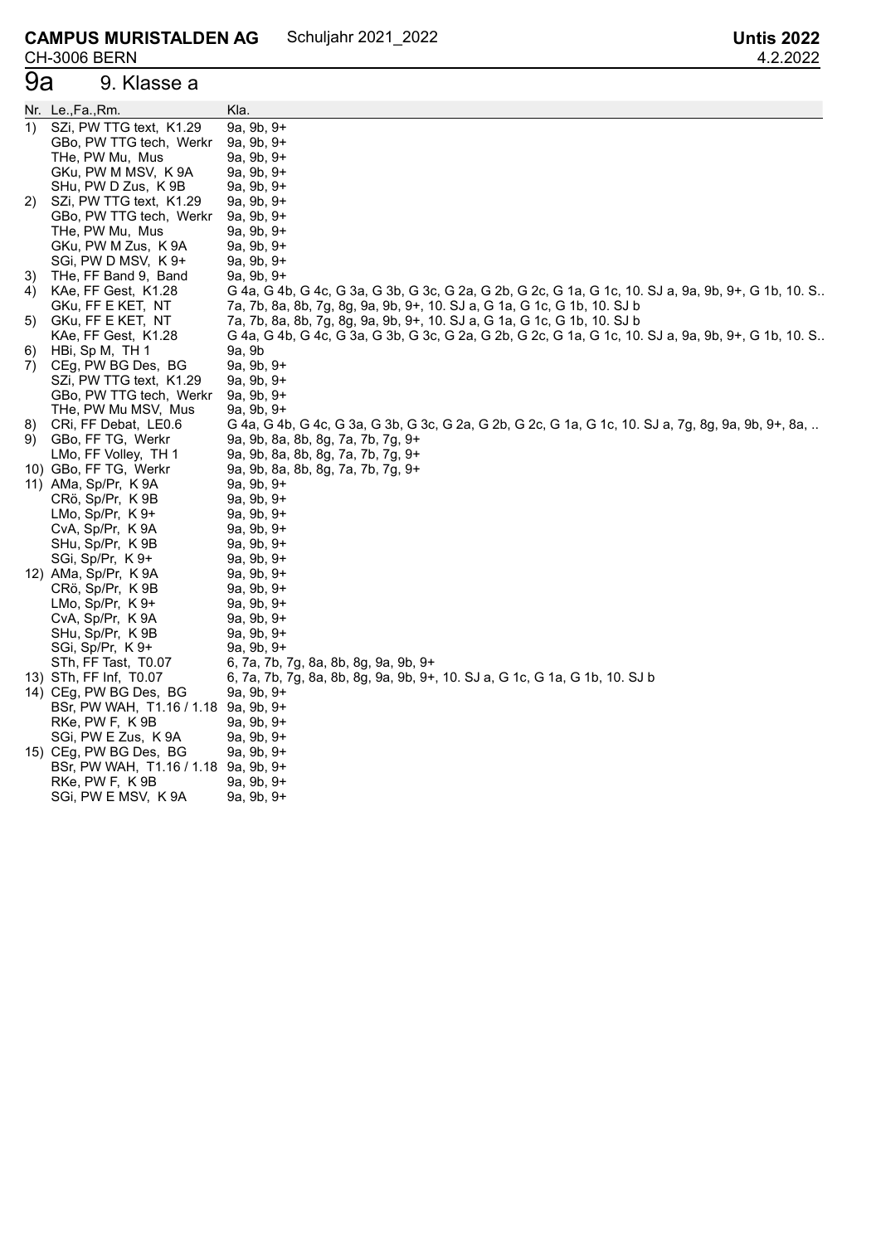# 9a 9. Klasse a

|    | Nr. Le.,Fa.,Rm.                      | Kla.                                                                                                 |
|----|--------------------------------------|------------------------------------------------------------------------------------------------------|
| 1) | SZi, PW TTG text, K1.29              | $9a, 9b, 9+$                                                                                         |
|    | GBo, PW TTG tech, Werkr              | 9a, 9b, 9+                                                                                           |
|    | THe, PW Mu, Mus                      | 9a, 9b, 9+                                                                                           |
|    | GKu, PW M MSV, K 9A                  | 9a, 9b, 9+                                                                                           |
|    | SHu, PW D Zus, K 9B                  | 9a, 9b, 9+                                                                                           |
| 2) | SZi, PW TTG text, K1.29              | 9a, 9b, 9+                                                                                           |
|    | GBo, PW TTG tech, Werkr              | 9a, 9b, 9+                                                                                           |
|    | THe, PW Mu, Mus                      | 9a, 9b, 9+                                                                                           |
|    | GKu, PW M Zus, K 9A                  | 9a, 9b, 9+                                                                                           |
|    | SGi, PW D MSV, K9+                   | 9a, 9b, 9+                                                                                           |
| 3) | THe, FF Band 9, Band                 | $9a, 9b, 9+$                                                                                         |
| 4) | KAe, FF Gest, K1.28                  | G 4a, G 4b, G 4c, G 3a, G 3b, G 3c, G 2a, G 2b, G 2c, G 1a, G 1c, 10. SJ a, 9a, 9b, 9+, G 1b, 10. S. |
|    | GKu, FF E KET, NT                    | 7a, 7b, 8a, 8b, 7g, 8g, 9a, 9b, 9+, 10. SJ a, G 1a, G 1c, G 1b, 10. SJ b                             |
| 5) | GKu, FF E KET, NT                    | 7a, 7b, 8a, 8b, 7g, 8g, 9a, 9b, 9+, 10. SJ a, G 1a, G 1c, G 1b, 10. SJ b                             |
|    | KAe, FF Gest, K1.28                  | G 4a, G 4b, G 4c, G 3a, G 3b, G 3c, G 2a, G 2b, G 2c, G 1a, G 1c, 10. SJ a, 9a, 9b, 9+, G 1b, 10. S. |
| 6) | HBi, Sp M, TH 1                      | 9a, 9b                                                                                               |
| 7) | CEg, PW BG Des, BG                   | $9a, 9b, 9+$                                                                                         |
|    | SZi, PW TTG text, K1.29              | 9a, 9b, 9+                                                                                           |
|    | GBo, PW TTG tech, Werkr              | 9a, 9b, 9+                                                                                           |
|    | THe, PW Mu MSV, Mus                  | 9a, 9b, 9+                                                                                           |
| 8) | CRI, FF Debat, LE0.6                 | G 4a, G 4b, G 4c, G 3a, G 3b, G 3c, G 2a, G 2b, G 2c, G 1a, G 1c, 10. SJ a, 7g, 8g, 9a, 9b, 9+, 8a,  |
| 9) | GBo, FF TG, Werkr                    | 9a, 9b, 8a, 8b, 8g, 7a, 7b, 7g, 9+                                                                   |
|    | LMo, FF Volley, TH 1                 | 9a, 9b, 8a, 8b, 8g, 7a, 7b, 7g, 9+                                                                   |
|    | 10) GBo, FF TG, Werkr                | 9a, 9b, 8a, 8b, 8g, 7a, 7b, 7g, 9+                                                                   |
|    | 11) AMa, Sp/Pr, K 9A                 | 9a, 9b, 9+                                                                                           |
|    | CRö, Sp/Pr, K9B                      | 9a, 9b, 9+                                                                                           |
|    | LMo, Sp/Pr, $K9+$                    | $9a, 9b, 9+$                                                                                         |
|    | CvA, Sp/Pr, K9A                      | $9a, 9b, 9+$                                                                                         |
|    | SHu, Sp/Pr, K9B                      | $9a, 9b, 9+$                                                                                         |
|    | SGi, Sp/Pr, K9+                      | $9a, 9b, 9+$                                                                                         |
|    | 12) AMa, Sp/Pr, K 9A                 | $9a, 9b, 9+$                                                                                         |
|    | CRö, Sp/Pr, K9B                      | 9a, 9b, 9+                                                                                           |
|    | LMo, Sp/Pr, $K$ 9+                   | $9a, 9b, 9+$                                                                                         |
|    | CvA, Sp/Pr, K9A                      | $9a, 9b, 9+$                                                                                         |
|    | SHu, Sp/Pr, K9B                      | $9a, 9b, 9+$                                                                                         |
|    | SGi, Sp/Pr, K9+                      | $9a, 9b, 9+$                                                                                         |
|    | STh, FF Tast, T0.07                  | 6, 7a, 7b, 7g, 8a, 8b, 8g, 9a, 9b, 9+                                                                |
|    | 13) STh, FF Inf, T0.07               | 6, 7a, 7b, 7g, 8a, 8b, 8g, 9a, 9b, 9+, 10. SJ a, G 1c, G 1a, G 1b, 10. SJ b                          |
|    | 14) CEg, PW BG Des, BG               | $9a, 9b, 9+$                                                                                         |
|    | BSr, PW WAH, T1.16 / 1.18 9a, 9b, 9+ |                                                                                                      |
|    | RKe, PW F, K 9B                      | 9a, 9b, 9+                                                                                           |
|    | SGi, PW E Zus, K 9A                  | 9a, 9b, 9+                                                                                           |
|    | 15) CEg, PW BG Des, BG               | 9a, 9b, 9+                                                                                           |
|    | BSr, PW WAH, T1.16 / 1.18 9a, 9b, 9+ |                                                                                                      |
|    | RKe, PW F, K9B                       | 9a, 9b, 9+                                                                                           |
|    | SGi, PW E MSV, K9A                   | 9a, 9b, 9+                                                                                           |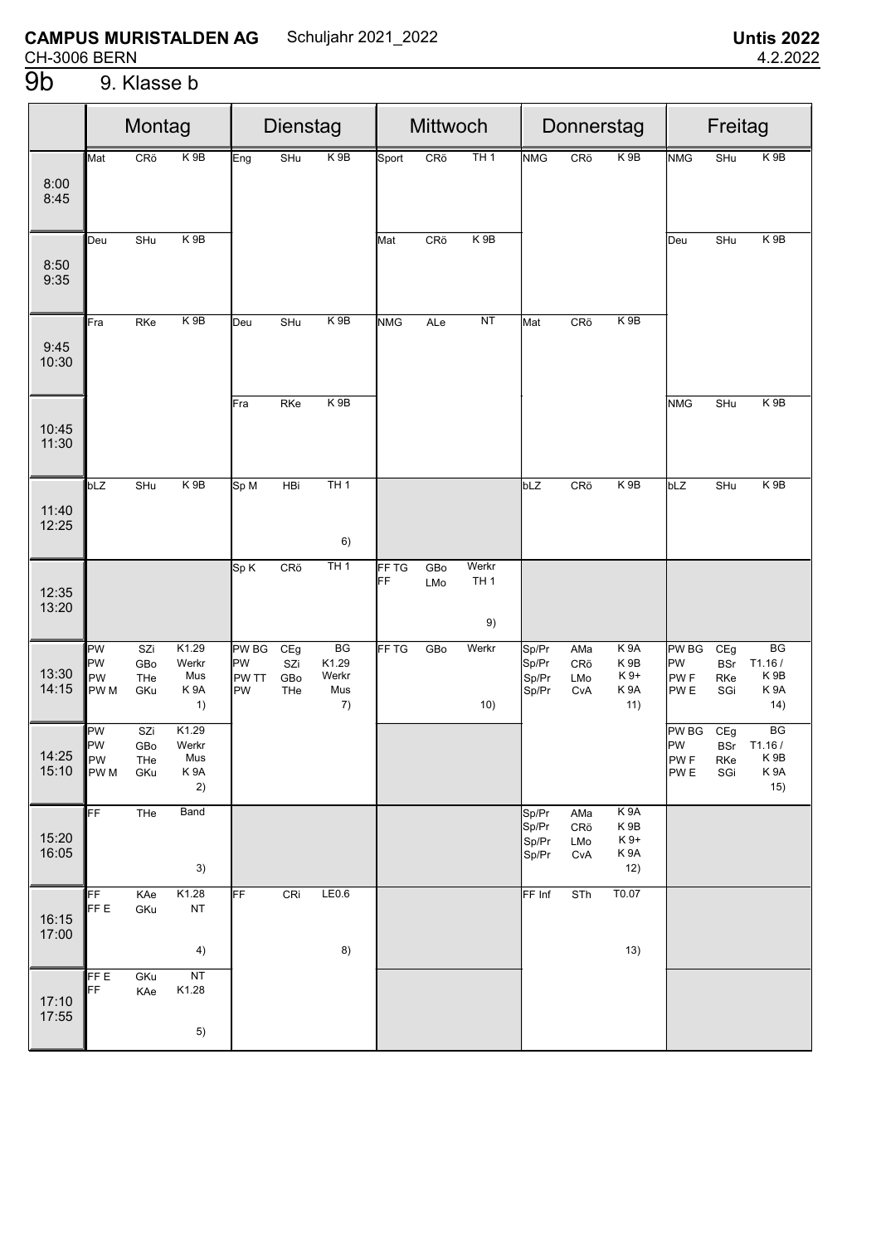$4)$ 

 $NT$ 

 $5)$ 

K1.28

 $\overline{FFE}$ 

FF

17:10<br>17:55

GKu

KAe

 $8)$ 

 $13)$ 

|                |                                     | Montag                   |                                                 |                                          | Dienstag                 |                                   |             | Mittwoch   |                                |                                  |                          | Donnerstag                                                             | Freitag                                           |                                 |                                                 |  |  |
|----------------|-------------------------------------|--------------------------|-------------------------------------------------|------------------------------------------|--------------------------|-----------------------------------|-------------|------------|--------------------------------|----------------------------------|--------------------------|------------------------------------------------------------------------|---------------------------------------------------|---------------------------------|-------------------------------------------------|--|--|
| 8:00<br>8:45   | Mat                                 | CRö                      | K <sub>9</sub> B                                | Eng                                      | SHu                      | K <sub>9B</sub>                   | Sport       | CRö        | TH1                            | <b>NMG</b>                       | CRö                      | $K$ 9B                                                                 | <b>NMG</b>                                        | SHu                             | K9B                                             |  |  |
| 8:50<br>9:35   | Deu                                 | SHu                      | K <sub>9B</sub>                                 |                                          |                          |                                   | Mat         | CRö        | $K$ 9B                         |                                  |                          |                                                                        | Deu                                               | SHu                             | K <sub>9B</sub>                                 |  |  |
| 9:45<br>10:30  | Fra                                 | RKe                      | K9B                                             | Deu                                      | SHu                      | K9B                               | <b>NMG</b>  | ALe        | <b>NT</b>                      | Mat                              | CRö                      | K 9B                                                                   |                                                   |                                 |                                                 |  |  |
| 10:45<br>11:30 |                                     |                          |                                                 | Fra                                      | RKe                      | K 9B                              |             |            |                                |                                  |                          |                                                                        | <b>NMG</b>                                        | SHu                             | K 9B                                            |  |  |
| 11:40<br>12:25 | bLZ                                 | SHu                      | K9B                                             | Sp M                                     | HBi                      | TH1<br>6)                         |             |            |                                | bLZ                              | CRö                      | K 9B                                                                   | bLZ                                               | SHu                             | K9B                                             |  |  |
| 12:35<br>13:20 |                                     |                          |                                                 | Sp K                                     | CR <sub>o</sub>          | TH1                               | FF TG<br>FF | GBo<br>LMo | Werkr<br>TH <sub>1</sub><br>9) |                                  |                          |                                                                        |                                                   |                                 |                                                 |  |  |
| 13:30<br>14:15 | PW<br>PW<br>PW<br>PW <sub>M</sub>   | SZi<br>GBo<br>THe<br>GKu | K1.29<br>Werkr<br>Mus<br>K <sub>9</sub> A<br>1) | <b>PW BG</b><br>PW<br>PW TT<br><b>PW</b> | CEg<br>SZi<br>GBo<br>THe | BG<br>K1.29<br>Werkr<br>Mus<br>7) | FF TG       | GBo        | Werkr<br>10)                   | Sp/Pr<br>Sp/Pr<br>Sp/Pr<br>Sp/Pr | AMa<br>CRö<br>LMo<br>CvA | K <sub>9</sub> A<br>K <sub>9</sub> B<br>K9+<br>K <sub>9</sub> A<br>11) | PW BG<br>PW<br><b>PWF</b><br>PW <sub>E</sub>      | CEg<br><b>BSr</b><br>RKe<br>SGi | BG<br>T1.16/<br>K 9B<br>K <sub>9</sub> A<br>14) |  |  |
| 14:25<br>15:10 | PW<br>PW<br><b>PW</b><br><b>PWM</b> | SZi<br>GBo<br>THe<br>GKu | K1.29<br>Werkr<br>Mus<br>K9A<br>2)              |                                          |                          |                                   |             |            |                                |                                  |                          |                                                                        | PW BG<br>PW<br>PW <sub>F</sub><br>PW <sub>E</sub> | CEg<br><b>BSr</b><br>RKe<br>SGi | BG<br>T1.16/<br>K <sub>9</sub> B<br>K 9A<br>15) |  |  |
| 15:20<br>16:05 | FF                                  | THe                      | Band<br>3)                                      |                                          |                          |                                   |             |            |                                | Sp/Pr<br>Sp/Pr<br>Sp/Pr<br>Sp/Pr | AMa<br>CRö<br>LMo<br>CvA | K 9A<br>K 9B<br>K 9+<br>K 9A<br>12)                                    |                                                   |                                 |                                                 |  |  |
| 16:15<br>17:00 | FF<br><b>FFE</b>                    | KAe<br>GKu               | K1.28<br>NT                                     | FF                                       | CRi                      | LE0.6                             |             |            |                                | FF Inf                           | STh                      | T0.07                                                                  |                                                   |                                 |                                                 |  |  |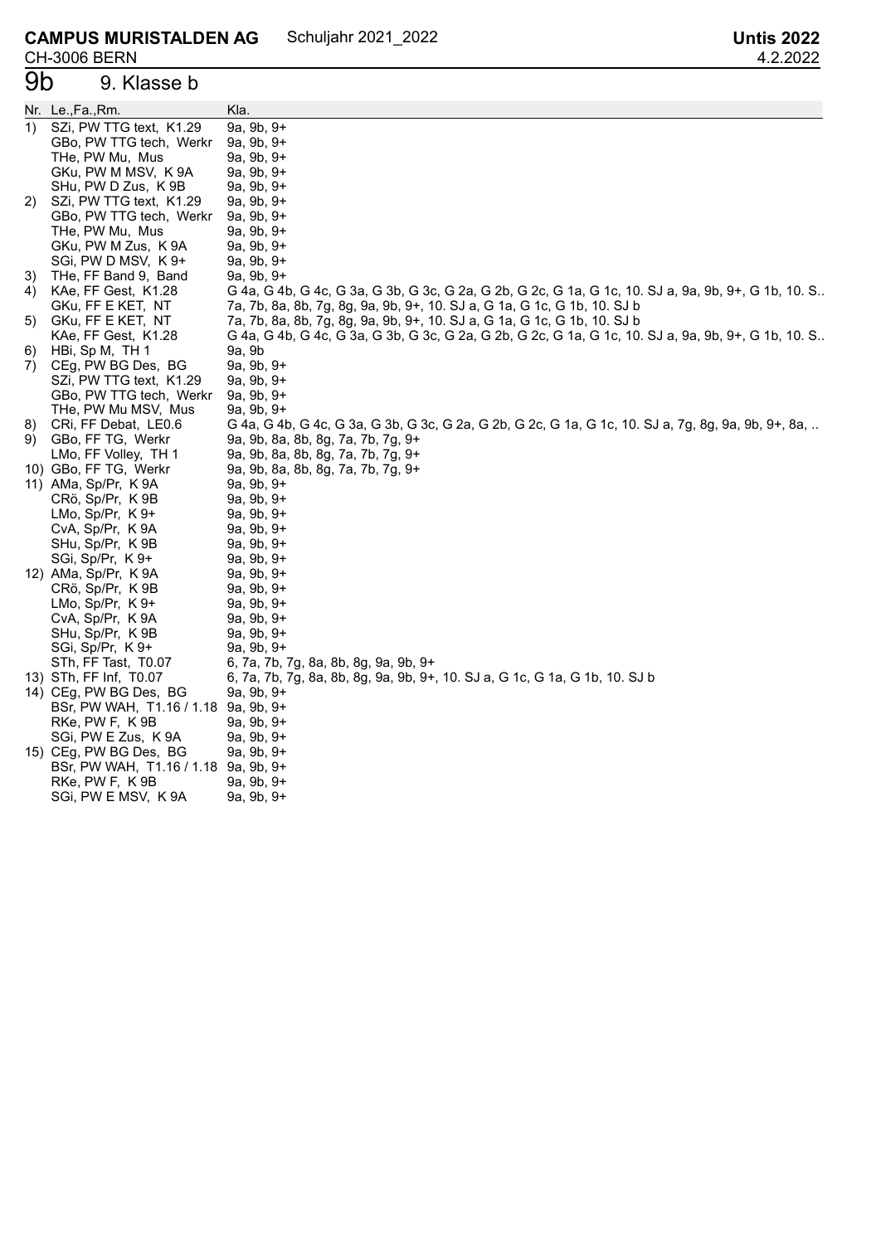#### 9. Klasse b

|    | Nr. Le.,Fa.,Rm.                      | Kla.                                                                                                 |
|----|--------------------------------------|------------------------------------------------------------------------------------------------------|
| 1) | SZi, PW TTG text, K1.29              | 9a, 9b, 9+                                                                                           |
|    | GBo, PW TTG tech, Werkr              | 9a, 9b, 9+                                                                                           |
|    | THe, PW Mu, Mus                      | 9a, 9b, 9+                                                                                           |
|    | GKu, PW M MSV, K 9A                  | 9a, 9b, 9+                                                                                           |
|    | SHu, PW D Zus, K 9B                  | 9a, 9b, 9+                                                                                           |
| 2) | SZi, PW TTG text, K1.29              | 9a, 9b, 9+                                                                                           |
|    | GBo, PW TTG tech, Werkr              | 9a, 9b, 9+                                                                                           |
|    | THe, PW Mu, Mus                      | 9a, 9b, 9+                                                                                           |
|    | GKu, PW M Zus, K 9A                  | 9a, 9b, 9+                                                                                           |
|    | SGi, PW D MSV, K 9+                  | 9a, 9b, 9+                                                                                           |
| 3) | THe, FF Band 9, Band                 | 9a, 9b, 9+                                                                                           |
| 4) | KAe, FF Gest, K1.28                  | G 4a, G 4b, G 4c, G 3a, G 3b, G 3c, G 2a, G 2b, G 2c, G 1a, G 1c, 10. SJ a, 9a, 9b, 9+, G 1b, 10. S. |
|    | GKu, FF E KET, NT                    | 7a, 7b, 8a, 8b, 7g, 8g, 9a, 9b, 9+, 10. SJ a, G 1a, G 1c, G 1b, 10. SJ b                             |
| 5) | GKu, FF E KET, NT                    | 7a, 7b, 8a, 8b, 7g, 8g, 9a, 9b, 9+, 10. SJ a, G 1a, G 1c, G 1b, 10. SJ b                             |
|    | KAe, FF Gest, K1.28                  | G 4a, G 4b, G 4c, G 3a, G 3b, G 3c, G 2a, G 2b, G 2c, G 1a, G 1c, 10. SJ a, 9a, 9b, 9+, G 1b, 10. S. |
| 6) | HBi, Sp M, TH 1                      | 9a, 9b                                                                                               |
| 7) | CEg, PW BG Des, BG                   | 9a, 9b, 9+                                                                                           |
|    | SZi, PW TTG text, K1.29              | 9a, 9b, 9+                                                                                           |
|    | GBo, PW TTG tech, Werkr              | 9a, 9b, 9+                                                                                           |
|    | THe, PW Mu MSV, Mus                  | 9a, 9b, 9+                                                                                           |
| 8) | CRI, FF Debat, LE0.6                 | G 4a, G 4b, G 4c, G 3a, G 3b, G 3c, G 2a, G 2b, G 2c, G 1a, G 1c, 10. SJ a, 7g, 8g, 9a, 9b, 9+, 8a,  |
| 9) | GBo, FF TG, Werkr                    | 9a, 9b, 8a, 8b, 8g, 7a, 7b, 7g, 9+                                                                   |
|    | LMo, FF Volley, TH 1                 | 9a, 9b, 8a, 8b, 8g, 7a, 7b, 7g, 9+                                                                   |
|    | 10) GBo, FF TG, Werkr                | 9a, 9b, 8a, 8b, 8g, 7a, 7b, 7g, 9+                                                                   |
|    | 11) AMa, Sp/Pr, K 9A                 | 9a, 9b, 9+                                                                                           |
|    | CRö, Sp/Pr, K9B                      | 9a, 9b, 9+                                                                                           |
|    | $LMo, Sp/Pr, K.9+$                   | 9a, 9b, 9+                                                                                           |
|    | CvA, Sp/Pr, K9A                      | 9a, 9b, 9+                                                                                           |
|    | SHu, Sp/Pr, K9B                      | 9a, 9b, 9+                                                                                           |
|    | SGi, Sp/Pr, K9+                      | 9a, 9b, 9+                                                                                           |
|    | 12) AMa, Sp/Pr, K 9A                 | 9a, 9b, 9+                                                                                           |
|    | CRö, Sp/Pr, K9B                      | 9a, 9b, 9+                                                                                           |
|    | LMo, Sp/Pr, $K9+$                    | 9a, 9b, 9+                                                                                           |
|    | CvA, Sp/Pr, K9A                      | 9a, 9b, 9+                                                                                           |
|    | SHu, Sp/Pr, K9B                      | 9a, 9b, 9+                                                                                           |
|    | SGi, Sp/Pr, K9+                      | 9a, 9b, 9+                                                                                           |
|    | STh, FF Tast, T0.07                  | 6, 7a, 7b, 7g, 8a, 8b, 8g, 9a, 9b, 9+                                                                |
|    | 13) STh, FF Inf, T0.07               | 6, 7a, 7b, 7g, 8a, 8b, 8g, 9a, 9b, 9+, 10. SJ a, G 1c, G 1a, G 1b, 10. SJ b                          |
|    | 14) CEg, PW BG Des, BG               | 9a, 9b, 9+                                                                                           |
|    | BSr, PW WAH, T1.16 / 1.18 9a, 9b, 9+ |                                                                                                      |
|    | RKe, PW F, K 9B                      | 9a, 9b, 9+                                                                                           |
|    | SGi, PW E Zus, K 9A                  | 9a, 9b, 9+                                                                                           |
|    | 15) CEg, PW BG Des, BG               | 9a, 9b, 9+                                                                                           |
|    | BSr, PW WAH, T1.16 / 1.18            | 9a, 9b, 9+                                                                                           |
|    | RKe, PW F, K9B                       | 9a, 9b, 9+                                                                                           |
|    | SGi, PW E MSV, K 9A                  | 9a, 9b, 9+                                                                                           |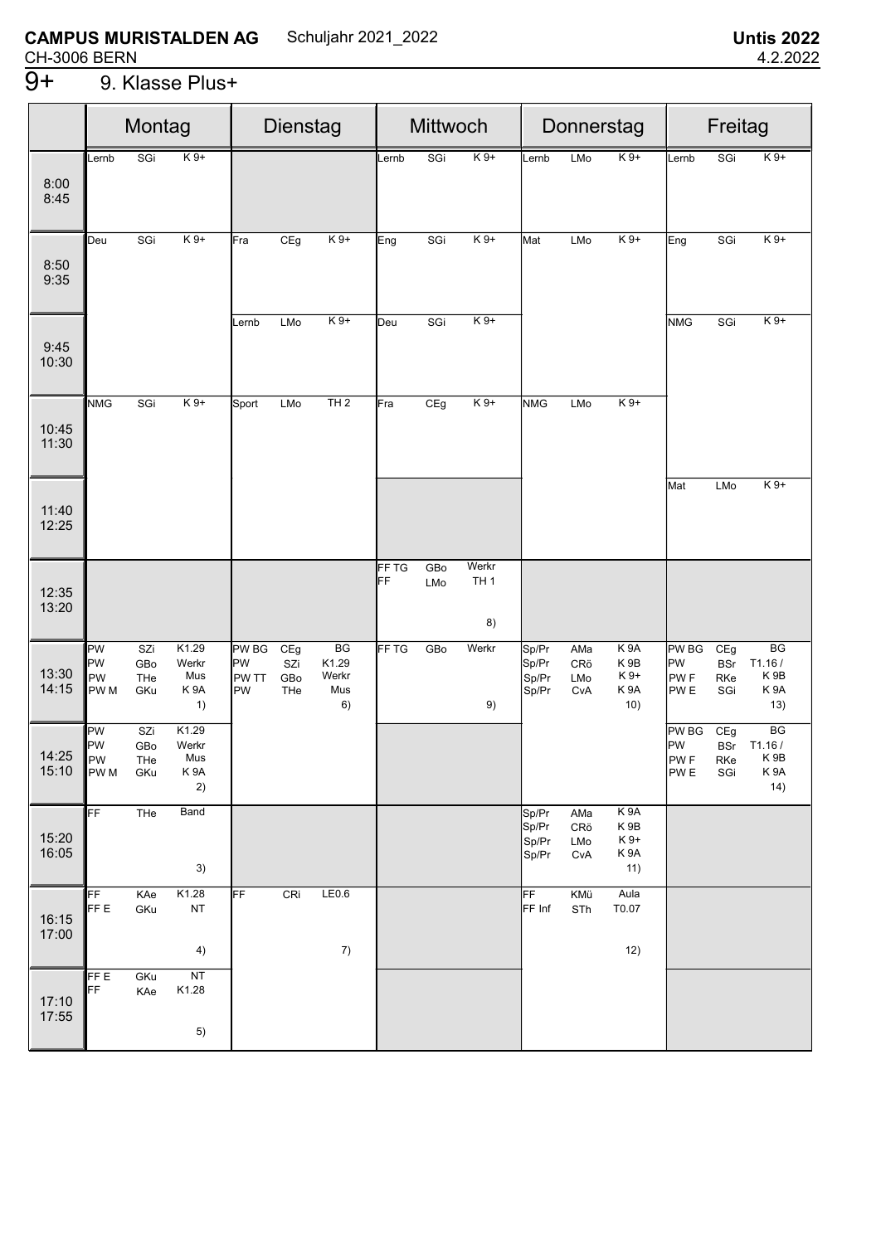# 9. Klasse Plus+

|                |                                             | Montag                   |                                                 | Dienstag                          |                          |                                   | Mittwoch    |            |                                |                                  | Donnerstag               |                                                                         | Freitag                                                  |                                 |                                                             |  |
|----------------|---------------------------------------------|--------------------------|-------------------------------------------------|-----------------------------------|--------------------------|-----------------------------------|-------------|------------|--------------------------------|----------------------------------|--------------------------|-------------------------------------------------------------------------|----------------------------------------------------------|---------------------------------|-------------------------------------------------------------|--|
| 8:00<br>8:45   | Lernb                                       | SGi                      | $K9+$                                           |                                   |                          |                                   | Lernb       | SGi        | $K9+$                          | Lernb                            | LMo                      | $K9+$                                                                   | Lernb                                                    | SGi                             | $K9+$                                                       |  |
| 8:50<br>9:35   | Deu                                         | SGi                      | $K9+$                                           | Fra                               | CEg                      | $K9+$                             | Eng         | SGi        | $K9+$                          | Mat                              | LMo                      | $K9+$                                                                   | Eng                                                      | SGi                             | $K9+$                                                       |  |
| 9:45<br>10:30  |                                             |                          |                                                 | Lernb                             | LMo                      | $K9+$                             | Deu         | SGi        | $K9+$                          |                                  |                          |                                                                         | <b>NMG</b>                                               | SGi                             | $K9+$                                                       |  |
| 10:45<br>11:30 | <b>NMG</b>                                  | SGi                      | $K9+$                                           | Sport                             | LMo                      | TH2                               | Fra         | CEg        | $K9+$                          | <b>NMG</b>                       | LMo                      | $K9+$                                                                   |                                                          |                                 |                                                             |  |
| 11:40<br>12:25 |                                             |                          |                                                 |                                   |                          |                                   |             |            |                                |                                  |                          |                                                                         | Mat                                                      | LMo                             | $K9+$                                                       |  |
| 12:35<br>13:20 |                                             |                          |                                                 |                                   |                          |                                   | FF TG<br>FF | GBo<br>LMo | Werkr<br>TH <sub>1</sub><br>8) |                                  |                          |                                                                         |                                                          |                                 |                                                             |  |
| 13:30<br>14:15 | PW<br><b>PW</b><br>PW<br>PW <sub>M</sub>    | SZi<br>GBo<br>THe<br>GKu | K1.29<br>Werkr<br>Mus<br>K <sub>9</sub> A<br>1) | <b>PW BG</b><br>PW<br>PW TT<br>PW | CEg<br>SZi<br>GBo<br>THe | BG<br>K1.29<br>Werkr<br>Mus<br>6) | FF TG       | GBo        | Werkr<br>9)                    | Sp/Pr<br>Sp/Pr<br>Sp/Pr<br>Sp/Pr | AMa<br>CRö<br>LMo<br>CvA | K <sub>9</sub> A<br>K <sub>9</sub> B<br>K 9+<br>K <sub>9</sub> A<br>10) | PW BG<br><b>PW</b><br>PW <sub>F</sub><br>PW <sub>E</sub> | CEg<br><b>BSr</b><br>RKe<br>SGi | BG<br>T1.16/<br>K <sub>9B</sub><br>K <sub>9</sub> A<br>13)  |  |
| 14:25<br>15:10 | PW<br><b>PW</b><br><b>IPW</b><br><b>PWM</b> | SZi<br>GBo<br>THe<br>GKu | K1.29<br>Werkr<br>Mus<br>K <sub>9</sub> A<br>2) |                                   |                          |                                   |             |            |                                |                                  |                          |                                                                         | PW BG<br><b>PW</b><br><b>PWF</b><br>PW <sub>E</sub>      | CEg<br><b>BSr</b><br>RKe<br>SGi | $\overline{BG}$<br>T1.16/<br>K <sub>9</sub> B<br>K9A<br>14) |  |
| 15:20<br>16:05 | FF                                          | THe                      | Band<br>3)                                      |                                   |                          |                                   |             |            |                                | Sp/Pr<br>Sp/Pr<br>Sp/Pr<br>Sp/Pr | AMa<br>CRö<br>LMo<br>CvA | K <sub>9</sub> A<br>K 9B<br>K 9+<br>K <sub>9</sub> A<br>11)             |                                                          |                                 |                                                             |  |
| 16:15<br>17:00 | FF<br>FF E                                  | KAe<br>GKu               | K1.28<br><b>NT</b><br>4)                        | FF                                | CRi                      | LE0.6<br>7)                       |             |            |                                | FF<br>FF Inf                     | KMü<br>STh               | Aula<br>T0.07<br>12)                                                    |                                                          |                                 |                                                             |  |
| 17:10<br>17:55 | FF E<br>FF                                  | GKu<br>KAe               | NT<br>K1.28<br>5)                               |                                   |                          |                                   |             |            |                                |                                  |                          |                                                                         |                                                          |                                 |                                                             |  |